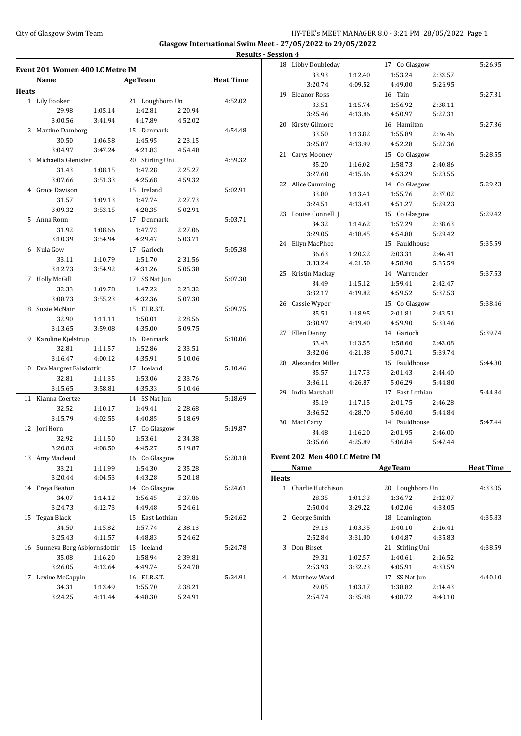# City of Glasgow Swim Team HY-TEK's MEET MANAGER 8.0 - 3:21 PM 28/05/2022 Page 1 **Glasgow International Swim Meet - 27/05/2022 to 29/05/2022**

|              | Event 201 Women 400 LC Metre IM |                    |                    |                    |                  |
|--------------|---------------------------------|--------------------|--------------------|--------------------|------------------|
|              | Name                            |                    | <b>AgeTeam</b>     |                    | <b>Heat Time</b> |
| <b>Heats</b> |                                 |                    |                    |                    |                  |
|              | 1 Lily Booker                   |                    | 21 Loughboro Un    |                    | 4:52.02          |
|              | 29.98                           | 1:05.14            | 1:42.81            | 2:20.94            |                  |
|              | 3:00.56                         | 3:41.94            | 4:17.89            | 4:52.02            |                  |
|              | 2 Martine Damborg               |                    | 15 Denmark         |                    | 4:54.48          |
|              | 30.50                           | 1:06.58            | 1:45.95            | 2:23.15            |                  |
|              | 3:04.97                         | 3:47.24            | 4:21.83            | 4:54.48            |                  |
| 3            | Michaella Glenister             |                    | 20 Stirling Uni    |                    | 4:59.32          |
|              | 31.43                           | 1:08.15            | 1:47.28            | 2:25.27            |                  |
|              | 3:07.66                         | 3:51.33            | 4:25.68            | 4:59.32            |                  |
|              | 4 Grace Davison                 |                    | 15 Ireland         |                    | 5:02.91          |
|              | 31.57                           | 1:09.13            | 1:47.74            | 2:27.73            |                  |
|              | 3:09.32                         | 3:53.15            | 4:28.35            | 5:02.91            |                  |
| 5.           | Anna Ronn                       |                    | 17 Denmark         |                    | 5:03.71          |
|              | 31.92                           | 1:08.66            | 1:47.73            | 2:27.06            |                  |
|              | 3:10.39                         | 3:54.94            | 4:29.47            | 5:03.71            |                  |
|              | 6 Nula Gow                      |                    | 17 Garioch         |                    | 5:05.38          |
|              | 33.11                           | 1:10.79            | 1:51.70            | 2:31.56            |                  |
|              | 3:12.73                         | 3:54.92            | 4:31.26            | 5:05.38            |                  |
| 7            | <b>Holly McGill</b>             |                    | 17 SS Nat Jun      |                    | 5:07.30          |
|              | 32.33                           | 1:09.78            | 1:47.22            | 2:23.32            |                  |
|              | 3:08.73                         | 3:55.23            | 4:32.36            | 5:07.30            |                  |
| 8            | Suzie McNair                    |                    | 15 F.I.R.S.T.      |                    | 5:09.75          |
|              |                                 |                    |                    |                    |                  |
|              | 32.90<br>3:13.65                | 1:11.11<br>3:59.08 | 1:50.01<br>4:35.00 | 2:28.56<br>5:09.75 |                  |
|              |                                 |                    |                    |                    |                  |
| 9            | Karoline Kjelstrup              |                    | 16 Denmark         |                    | 5:10.06          |
|              | 32.81                           | 1:11.57            | 1:52.86            | 2:33.51            |                  |
|              | 3:16.47                         | 4:00.12            | 4:35.91            | 5:10.06            |                  |
|              | 10 Eva Margret Falsdottir       |                    | 17 Iceland         |                    | 5:10.46          |
|              | 32.81                           | 1:11.35            | 1:53.06            | 2:33.76            |                  |
|              | 3:15.65                         | 3:58.81            | 4:35.33            | 5:10.46            |                  |
|              | 11 Kianna Coertze               |                    | 14 SS Nat Jun      |                    | 5:18.69          |
|              | 32.52                           | 1:10.17            | 1:49.41            | 2:28.68            |                  |
|              | 3:15.79                         | 4:02.55            | 4:40.85            | 5:18.69            |                  |
|              | 12 Jori Horn                    |                    | 17 Co Glasgow      |                    | 5:19.87          |
|              | 32.92                           | 1:11.50            | 1:53.61            | 2:34.38            |                  |
|              | 3:20.83                         | 4:08.50            | 4:45.27            | 5:19.87            |                  |
|              | 13 Amy Macleod                  |                    | 16 Co Glasgow      |                    | 5:20.18          |
|              | 33.21                           | 1:11.99            | 1:54.30            | 2:35.28            |                  |
|              | 3:20.44                         | 4:04.53            | 4:43.28            | 5:20.18            |                  |
|              | 14 Freya Beaton                 |                    | 14 Co Glasgow      |                    | 5:24.61          |
|              | 34.07                           | 1:14.12            | 1:56.45            | 2:37.86            |                  |
|              | 3:24.73                         | 4:12.73            | 4:49.48            | 5:24.61            |                  |
|              | 15 Tegan Black                  |                    | 15 East Lothian    |                    | 5:24.62          |
|              | 34.50                           | 1:15.82            | 1:57.74            | 2:38.13            |                  |
|              | 3:25.43                         | 4:11.57            | 4:48.83            | 5:24.62            |                  |
|              | 16 Sunneva Berg Asbjornsdottir  |                    | 15 Iceland         |                    | 5:24.78          |
|              | 35.08                           | 1:16.20            | 1:58.94            | 2:39.81            |                  |
|              | 3:26.05                         | 4:12.64            | 4:49.74            | 5:24.78            |                  |
| 17           | Lexine McCappin                 |                    | 16 F.I.R.S.T.      |                    | 5:24.91          |
|              |                                 |                    |                    |                    |                  |
|              | 34.31                           | 1:13.49            | 1:55.70            | 2:38.21            |                  |

|            | <b>Results - Session 4</b> |                               |         |                 |         |         |
|------------|----------------------------|-------------------------------|---------|-----------------|---------|---------|
|            |                            | 18 Libby Doubleday            |         | 17 Co Glasgow   |         | 5:26.95 |
| ime        |                            | 33.93                         | 1:12.40 | 1:53.24         | 2:33.57 |         |
|            |                            | 3:20.74                       | 4:09.52 | 4:49.00         | 5:26.95 |         |
|            |                            | 19 Eleanor Ross               |         | 16 Tain         |         | 5:27.31 |
| 2.02       |                            | 33.51                         | 1:15.74 | 1:56.92         | 2:38.11 |         |
|            |                            | 3:25.46                       | 4:13.86 | 4:50.97         | 5:27.31 |         |
|            | 20                         | Kirsty Gilmore                |         | 16 Hamilton     |         | 5:27.36 |
| <b>L48</b> |                            | 33.50                         | 1:13.82 | 1:55.89         | 2:36.46 |         |
|            |                            | 3:25.87                       | 4:13.99 | 4:52.28         | 5:27.36 |         |
|            | 21                         | Carys Mooney                  |         | 15 Co Glasgow   |         | 5:28.55 |
| .32        |                            | 35.20                         | 1:16.02 | 1:58.73         | 2:40.86 |         |
|            |                            | 3:27.60                       | 4:15.66 | 4:53.29         | 5:28.55 |         |
|            |                            | 22 Alice Cumming              |         | 14 Co Glasgow   |         | 5:29.23 |
| 2.91       |                            | 33.80                         | 1:13.41 | 1:55.76         | 2:37.02 |         |
|            |                            | 3:24.51                       | 4:13.41 | 4:51.27         | 5:29.23 |         |
|            |                            | 23 Louise Connell J           |         | 15 Co Glasgow   |         | 5:29.42 |
| 3.71       |                            | 34.32                         | 1:14.62 | 1:57.29         | 2:38.63 |         |
|            |                            | 3:29.05                       | 4:18.45 | 4:54.88         | 5:29.42 |         |
|            |                            | 24 Ellyn MacPhee              |         | 15 Fauldhouse   |         | 5:35.59 |
| 5.38       |                            | 36.63                         | 1:20.22 | 2:03.31         | 2:46.41 |         |
|            |                            | 3:33.24                       | 4:21.50 | 4:58.90         | 5:35.59 |         |
|            | 25<br>Kristin Mackay       |                               |         | 14 Warrender    |         | 5:37.53 |
| 7.30       |                            | 34.49                         | 1:15.12 | 1:59.41         | 2:42.47 |         |
|            |                            | 3:32.17                       | 4:19.82 | 4:59.52         | 5:37.53 |         |
|            |                            | 26 Cassie Wyper               |         | 15 Co Glasgow   | 5:38.46 |         |
| 1.75       |                            | 35.51                         | 1:18.95 | 2:01.81         | 2:43.51 |         |
|            |                            | 3:30.97                       | 4:19.40 | 4:59.90         | 5:38.46 |         |
|            | 27                         | Ellen Denny                   |         | 14 Garioch      |         | 5:39.74 |
| ).06       |                            | 33.43                         | 1:13.55 | 1:58.60         | 2:43.08 |         |
|            |                            | 3:32.06                       | 4:21.38 | 5:00.71         | 5:39.74 |         |
|            |                            | 28 Alexandra Miller           |         | 15 Fauldhouse   |         | 5:44.80 |
| ).46       |                            | 35.57                         | 1:17.73 | 2:01.43         | 2:44.40 |         |
|            |                            | 3:36.11                       | 4:26.87 | 5:06.29         | 5:44.80 |         |
|            | 29                         | India Marshall                |         | 17 East Lothian |         | 5:44.84 |
| 3.69       |                            | 35.19                         | 1:17.15 | 2:01.75         | 2:46.28 |         |
|            |                            | 3:36.52                       | 4:28.70 | 5:06.40         | 5:44.84 |         |
|            |                            | 30 Maci Carty                 |         | 14 Fauldhouse   |         | 5:47.44 |
| 9.87       |                            | 34.48                         | 1:16.20 | 2:01.95         | 2:46.00 |         |
|            |                            | 3:35.66                       | 4:25.89 | 5:06.84         | 5:47.44 |         |
|            |                            |                               |         |                 |         |         |
| .18        |                            | Event 202 Men 400 LC Metre IM |         |                 |         |         |

|       | Name              |         | <b>Heat Time</b>   |         |         |
|-------|-------------------|---------|--------------------|---------|---------|
| Heats |                   |         |                    |         |         |
|       | Charlie Hutchison |         | 20 Loughboro Un    |         | 4:33.05 |
|       | 28.35             | 1:01.33 | 1:36.72            | 2:12.07 |         |
|       | 2:50.04           | 3:29.22 | 4:02.06            | 4:33.05 |         |
| 2     | George Smith      |         | 18 Leamington      |         | 4:35.83 |
|       | 29.13             | 1:03.35 | 1:40.10            | 2:16.41 |         |
|       | 2:52.84           | 3:31.00 | 4:04.87            | 4:35.83 |         |
| 3     | Don Bisset        |         | Stirling Uni<br>21 |         | 4:38.59 |
|       | 29.31             | 1:02.57 | 1:40.61            | 2:16.52 |         |
|       | 2:53.93           | 3:32.23 | 4:05.91            | 4:38.59 |         |
| 4     | Matthew Ward      |         | SS Nat Jun<br>17   |         | 4:40.10 |
|       | 29.05             | 1:03.17 | 1:38.82            | 2:14.43 |         |
|       | 2:54.74           | 3:35.98 | 4:08.72            | 4:40.10 |         |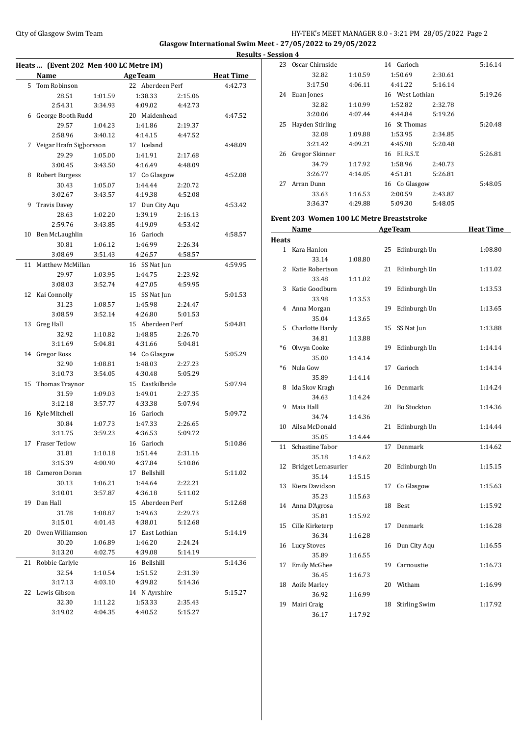# City of Glasgow Swim Team HY-TEK's MEET MANAGER 8.0 - 3:21 PM 28/05/2022 Page 2 **Glasgow International Swim Meet - 27/05/2022 to 29/05/2022**

|    | Heats  (Event 202 Men 400 LC Metre IM) |         |                  |         |                  |
|----|----------------------------------------|---------|------------------|---------|------------------|
|    | Name                                   |         | <b>AgeTeam</b>   |         | <b>Heat Time</b> |
|    | 5 Tom Robinson                         |         | 22 Aberdeen Perf |         | 4:42.73          |
|    | 28.51                                  | 1:01.59 | 1:38.33          | 2:15.06 |                  |
|    | 2:54.31                                | 3:34.93 | 4:09.02          | 4:42.73 |                  |
|    | 6 George Booth Rudd                    |         | 20 Maidenhead    |         | 4:47.52          |
|    | 29.57                                  | 1:04.23 | 1:41.86          | 2:19.37 |                  |
|    | 2:58.96                                | 3:40.12 | 4:14.15          | 4:47.52 |                  |
| 7  | Veigar Hrafn Sigborsson                |         | 17 Iceland       |         | 4:48.09          |
|    | 29.29                                  | 1:05.00 | 1:41.91          | 2:17.68 |                  |
|    | 3:00.45                                | 3:43.50 | 4:16.49          | 4:48.09 |                  |
| 8  | <b>Robert Burgess</b>                  |         | 17 Co Glasgow    |         | 4:52.08          |
|    | 30.43                                  | 1:05.07 | 1:44.44          | 2:20.72 |                  |
|    | 3:02.67                                | 3:43.57 | 4:19.38          | 4:52.08 |                  |
| 9  | <b>Travis Davey</b>                    |         | 17 Dun City Aqu  |         | 4:53.42          |
|    | 28.63                                  | 1:02.20 | 1:39.19          | 2:16.13 |                  |
|    | 2:59.76                                | 3:43.85 | 4:19.09          | 4:53.42 |                  |
| 10 | Ben McLaughlin                         |         | 16 Garioch       |         | 4:58.57          |
|    | 30.81                                  | 1:06.12 | 1:46.99          | 2:26.34 |                  |
|    | 3:08.69                                | 3:51.43 | 4:26.57          | 4:58.57 |                  |
| 11 | Matthew McMillan                       |         | 16 SS Nat Jun    |         | 4:59.95          |
|    | 29.97                                  | 1:03.95 | 1:44.75          | 2:23.92 |                  |
|    | 3:08.03                                | 3:52.74 | 4:27.05          | 4:59.95 |                  |
| 12 | Kai Connolly                           |         | 15 SS Nat Jun    |         | 5:01.53          |
|    | 31.23                                  | 1:08.57 | 1:45.98          | 2:24.47 |                  |
|    | 3:08.59                                | 3:52.14 | 4:26.80          | 5:01.53 |                  |
| 13 | <b>Greg Hall</b>                       |         | 15 Aberdeen Perf |         | 5:04.81          |
|    | 32.92                                  | 1:10.82 | 1:48.85          | 2:26.70 |                  |
|    | 3:11.69                                | 5:04.81 | 4:31.66          | 5:04.81 |                  |
| 14 | Gregor Ross                            |         | 14 Co Glasgow    |         | 5:05.29          |
|    | 32.90                                  | 1:08.81 | 1:48.03          | 2:27.23 |                  |
|    | 3:10.73                                | 3:54.05 | 4:30.48          | 5:05.29 |                  |
| 15 | Thomas Traynor                         |         | 15 Eastkilbride  |         | 5:07.94          |
|    | 31.59                                  | 1:09.03 | 1:49.01          | 2:27.35 |                  |
|    | 3:12.18                                | 3:57.77 | 4:33.38          | 5:07.94 |                  |
|    | 16 Kyle Mitchell                       |         | 16 Garioch       |         | 5:09.72          |
|    | 30.84                                  | 1:07.73 | 1:47.33          | 2:26.65 |                  |
|    | 3:11.75                                | 3:59.23 | 4:36.53          | 5:09.72 |                  |
| 17 | <b>Fraser Tetlow</b>                   |         | 16 Garioch       |         | 5:10.86          |
|    | 31.81                                  | 1:10.18 | 1:51.44          | 2:31.16 |                  |
|    | 3:15.39                                | 4:00.90 | 4:37.84          | 5:10.86 |                  |
| 18 | Cameron Doran                          |         | 17 Bellshill     |         | 5:11.02          |
|    | 30.13                                  | 1:06.21 | 1:44.64          | 2:22.21 |                  |
|    | 3:10.01                                | 3:57.87 | 4:36.18          | 5:11.02 |                  |
| 19 | Dan Hall                               |         | 15 Aberdeen Perf |         | 5:12.68          |
|    | 31.78                                  | 1:08.87 | 1:49.63          | 2:29.73 |                  |
|    | 3:15.01                                | 4:01.43 | 4:38.01          | 5:12.68 |                  |
|    | 20 Owen Williamson                     |         | 17 East Lothian  |         | 5:14.19          |
|    | 30.20                                  | 1:06.89 | 1:46.20          | 2:24.24 |                  |
|    | 3:13.20                                | 4:02.75 | 4:39.08          | 5:14.19 |                  |
| 21 | Robbie Carlyle                         |         | 16 Bellshill     |         | 5:14.36          |
|    | 32.54                                  | 1:10.54 | 1:51.52          | 2:31.39 |                  |
|    | 3:17.13                                | 4:03.10 | 4:39.82          | 5:14.36 |                  |
| 22 | Lewis Gibson                           |         | 14 N Ayrshire    |         | 5:15.27          |
|    | 32.30                                  | 1:11.22 | 1:53.33          | 2:35.43 |                  |
|    | 3:19.02                                | 4:04.35 | 4:40.52          | 5:15.27 |                  |

| <b>Results - Session 4</b> |    |                 |         |                 |         |         |
|----------------------------|----|-----------------|---------|-----------------|---------|---------|
|                            | 23 | Oscar Chirnside |         | 14 Garioch      |         | 5:16.14 |
| `ime                       |    | 32.82           | 1:10.59 | 1:50.69         | 2:30.61 |         |
| 2.73                       |    | 3:17.50         | 4:06.11 | 4:41.22         | 5:16.14 |         |
|                            | 24 | Euan Jones      |         | 16 West Lothian |         | 5:19.26 |
|                            |    | 32.82           | 1:10.99 | 1:52.82         | 2:32.78 |         |
| 7.52                       |    | 3:20.06         | 4:07.44 | 4:44.84         | 5:19.26 |         |
|                            | 25 | Hayden Stirling |         | 16 St Thomas    |         | 5:20.48 |
|                            |    | 32.08           | 1:09.88 | 1:53.95         | 2:34.85 |         |
| 8.09                       |    | 3:21.42         | 4:09.21 | 4:45.98         | 5:20.48 |         |
|                            | 26 | Gregor Skinner  |         | 16 F.I.R.S.T.   |         | 5:26.81 |
|                            |    | 34.79           | 1:17.92 | 1:58.96         | 2:40.73 |         |
| 2.08                       |    | 3:26.77         | 4:14.05 | 4:51.81         | 5:26.81 |         |
|                            | 27 | Arran Dunn      |         | 16 Co Glasgow   |         | 5:48.05 |
|                            |    | 33.63           | 1:16.53 | 2:00.59         | 2:43.87 |         |
| 3.42                       |    | 3:36.37         | 4:29.88 | 5:09.30         | 5:48.05 |         |

#### **Event 203 Women 100 LC Metre Breaststroke**

|              | Name               |         |    | <b>AgeTeam</b>       | <b>Heat Time</b> |
|--------------|--------------------|---------|----|----------------------|------------------|
| <b>Heats</b> |                    |         |    |                      |                  |
|              | 1 Kara Hanlon      |         | 25 | Edinburgh Un         | 1:08.80          |
|              | 33.14              | 1:08.80 |    |                      |                  |
|              | 2 Katie Robertson  |         | 21 | Edinburgh Un         | 1:11.02          |
|              | 33.48              | 1:11.02 |    |                      |                  |
| 3            | Katie Goodburn     |         | 19 | Edinburgh Un         | 1:13.53          |
|              | 33.98              | 1:13.53 |    |                      |                  |
| 4            | Anna Morgan        |         | 19 | Edinburgh Un         | 1:13.65          |
|              | 35.04              | 1:13.65 |    |                      |                  |
| 5            | Charlotte Hardy    |         | 15 | SS Nat Jun           | 1:13.88          |
|              | 34.81              | 1:13.88 |    |                      |                  |
| $*6$         | Olwyn Cooke        |         | 19 | Edinburgh Un         | 1:14.14          |
|              | 35.00              | 1:14.14 |    |                      |                  |
| $*6$         | Nula Gow           |         | 17 | Garioch              | 1:14.14          |
|              | 35.89              | 1:14.14 |    |                      |                  |
| 8            | Ida Skov Kragh     |         | 16 | Denmark              | 1:14.24          |
|              | 34.63              | 1:14.24 |    |                      |                  |
| 9            | Maia Hall          |         | 20 | Bo Stockton          | 1:14.36          |
|              | 34.74              | 1:14.36 |    |                      |                  |
| 10           | Ailsa McDonald     |         | 21 | Edinburgh Un         | 1:14.44          |
|              | 35.05              | 1:14.44 |    |                      |                  |
| 11           | Schastine Tabor    |         | 17 | Denmark              | 1:14.62          |
|              | 35.18              | 1:14.62 |    |                      |                  |
| 12           | Bridget Lemasurier |         | 20 | Edinburgh Un         | 1:15.15          |
|              | 35.14              | 1:15.15 |    |                      |                  |
| 13           | Kiera Davidson     |         | 17 | Co Glasgow           | 1:15.63          |
|              | 35.23              | 1:15.63 |    |                      |                  |
| 14           | Anna D'Agrosa      |         | 18 | Best                 | 1:15.92          |
|              | 35.81              | 1:15.92 |    |                      |                  |
| 15           | Cille Kirketerp    |         | 17 | Denmark              | 1:16.28          |
|              | 36.34              | 1:16.28 |    |                      |                  |
| 16           | <b>Lucy Stoves</b> |         |    | 16 Dun City Aqu      | 1:16.55          |
|              | 35.89              | 1:16.55 |    |                      |                  |
| 17           | Emily McGhee       |         |    | 19 Carnoustie        | 1:16.73          |
|              | 36.45              | 1:16.73 |    |                      |                  |
| 18           | Aoife Marley       |         |    | 20 Witham            | 1:16.99          |
|              | 36.92              | 1:16.99 |    |                      |                  |
| 19           | Mairi Craig        |         | 18 | <b>Stirling Swim</b> | 1:17.92          |
|              | 36.17              | 1:17.92 |    |                      |                  |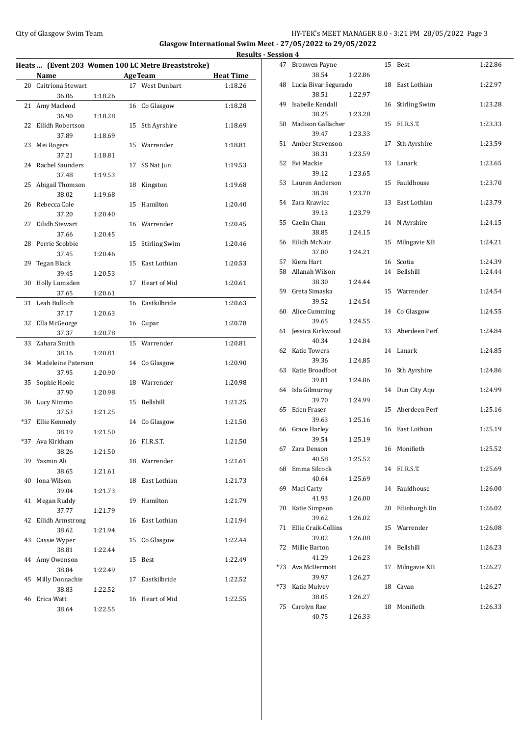# City of Glasgow Swim Team Team Feam Fermion States of the HY-TEK's MEET MANAGER 8.0 - 3:21 PM 28/05/2022 Page 3

**Glasgow International Swim Meet - 27/05/2022 to 29/05/2022**

|       |                       |         |    | Heats  (Event 203 Women 100 LC Metre Breaststroke) |                  |
|-------|-----------------------|---------|----|----------------------------------------------------|------------------|
|       | Name                  |         |    | <b>AgeTeam</b>                                     | <b>Heat Time</b> |
| 20    | Caitriona Stewart     |         |    | 17 West Dunbart                                    | 1:18.26          |
|       | 36.06                 | 1:18.26 |    |                                                    |                  |
| 21    | Amy Macleod           |         | 16 | Co Glasgow                                         | 1:18.28          |
|       | 36.90                 | 1:18.28 |    |                                                    |                  |
| 22    | Eilidh Robertson      |         | 15 | Sth Ayrshire                                       | 1:18.69          |
|       | 37.89                 | 1:18.69 |    |                                                    |                  |
| 23    | Mei Rogers            |         | 15 | Warrender                                          | 1:18.81          |
|       | 37.21                 | 1:18.81 |    |                                                    |                  |
| 24    | Rachel Saunders       |         | 17 | SS Nat Jun                                         | 1:19.53          |
|       | 37.48                 | 1:19.53 |    |                                                    |                  |
| 25    | Abigail Thomson       |         | 18 | Kingston                                           | 1:19.68          |
|       | 38.02                 | 1:19.68 |    |                                                    |                  |
| 26    | Rebecca Cole          |         | 15 | Hamilton                                           | 1:20.40          |
|       | 37.20                 | 1:20.40 |    |                                                    |                  |
| 27    | Eilidh Stewart        |         |    | 16 Warrender                                       | 1:20.45          |
|       | 37.66                 | 1:20.45 |    |                                                    |                  |
| 28    | Perrie Scobbie        |         | 15 | <b>Stirling Swim</b>                               | 1:20.46          |
|       | 37.45                 | 1:20.46 |    |                                                    |                  |
| 29    | Tegan Black           |         | 15 | East Lothian                                       | 1:20.53          |
|       | 39.45                 | 1:20.53 |    |                                                    |                  |
| 30    | Holly Lumsden         |         | 17 | Heart of Mid                                       | 1:20.61          |
|       | 37.65                 | 1:20.61 |    |                                                    |                  |
| 31    | Leah Bulloch          |         | 16 | Eastkilbride                                       | 1:20.63          |
|       | 37.17                 | 1:20.63 |    |                                                    |                  |
| 32    | Ella McGeorge         |         |    | 16 Cupar                                           | 1:20.78          |
|       | 37.37                 | 1:20.78 |    |                                                    |                  |
| 33    | Zahara Smith          |         | 15 | Warrender                                          | 1:20.81          |
|       | 38.16                 | 1:20.81 |    |                                                    |                  |
| 34    | Madeleine Paterson    |         | 14 | Co Glasgow                                         | 1:20.90          |
| 35    | 37.95<br>Sophie Hoole | 1:20.90 | 18 | Warrender                                          | 1:20.98          |
|       | 37.90                 | 1:20.98 |    |                                                    |                  |
| 36    | Lucy Nimmo            |         | 15 | Bellshill                                          | 1:21.25          |
|       | 37.53                 | 1:21.25 |    |                                                    |                  |
| *37   | Ellie Kennedy         |         | 14 | Co Glasgow                                         | 1:21.50          |
|       | 38.19                 | 1:21.50 |    |                                                    |                  |
| $*37$ | Ava Kirkham           |         |    | 16 F.I.R.S.T.                                      | 1:21.50          |
|       | 38.26                 | 1:21.50 |    |                                                    |                  |
|       | 39 Yasmin Ali         |         |    | 18 Warrender                                       | 1:21.61          |
|       | 38.65                 | 1:21.61 |    |                                                    |                  |
| 40    | Iona Wilson           |         | 18 | East Lothian                                       | 1:21.73          |
|       | 39.04                 | 1:21.73 |    |                                                    |                  |
| 41    | Megan Ruddy           |         | 19 | Hamilton                                           | 1:21.79          |
|       | 37.77                 | 1:21.79 |    |                                                    |                  |
| 42    | Eilidh Armstrong      |         | 16 | East Lothian                                       | 1:21.94          |
|       | 38.62                 | 1:21.94 |    |                                                    |                  |
| 43    | Cassie Wyper          |         | 15 | Co Glasgow                                         | 1:22.44          |
|       | 38.81                 | 1:22.44 |    |                                                    |                  |
| 44    | Amy Owenson           |         | 15 | Best                                               | 1:22.49          |
|       | 38.84                 | 1:22.49 |    |                                                    |                  |
| 45    | Milly Donnachie       |         | 17 | Eastkilbride                                       | 1:22.52          |
|       | 38.83                 | 1:22.52 |    |                                                    |                  |
| 46    | Erica Watt            |         | 16 | Heart of Mid                                       | 1:22.55          |
|       | 38.64                 | 1:22.55 |    |                                                    |                  |

|                    | <b>Results - Session 4</b> |                                  |         |    |                  |         |
|--------------------|----------------------------|----------------------------------|---------|----|------------------|---------|
|                    |                            | 47 Bronwen Payne                 |         |    | 15 Best          | 1:22.86 |
| <u>ime</u><br>3.26 |                            | 38.54<br>48 Lucia Bivar Segurado | 1:22.86 |    | 18 East Lothian  | 1:22.97 |
| 3.28               |                            | 38.51<br>49 Isabelle Kendall     | 1:22.97 |    | 16 Stirling Swim | 1:23.28 |
|                    |                            | 38.25                            | 1:23.28 |    |                  |         |
| 3.69               |                            | 50 Madison Gallacher<br>39.47    | 1:23.33 |    | 15 F.I.R.S.T.    | 1:23.33 |
| 3.81               |                            | 51 Amber Stevenson<br>38.31      | 1:23.59 | 17 | Sth Ayrshire     | 1:23.59 |
| 1.53               |                            | 52 Evi Mackie                    |         |    | 13 Lanark        | 1:23.65 |
| 1.68               |                            | 39.12<br>53 Lauren Anderson      | 1:23.65 |    | 15 Fauldhouse    | 1:23.70 |
| 0.40               |                            | 38.38<br>54 Zara Krawiec         | 1:23.70 |    | 13 East Lothian  | 1:23.79 |
|                    |                            | 39.13                            | 1:23.79 |    |                  |         |
| ).45               |                            | 55 Caelin Chan<br>38.85          | 1:24.15 |    | 14 N Ayrshire    | 1:24.15 |
| ).46               |                            | 56 Eilidh McNair<br>37.80        | 1:24.21 | 15 | Milngavie &B     | 1:24.21 |
|                    |                            | 57 Kiera Hart                    |         |    | 16 Scotia        | 1:24.39 |
| .53                |                            | 58 Allanah Wilson                |         |    | 14 Bellshill     | 1:24.44 |
| ).61               |                            | 38.30                            | 1:24.44 |    |                  |         |
|                    |                            | 59 Greta Simaska                 |         |    | 15 Warrender     | 1:24.54 |
| 0.63               |                            | 39.52                            | 1:24.54 |    |                  |         |
|                    |                            | 60 Alice Cumming                 |         |    | 14 Co Glasgow    | 1:24.55 |
| ).78               |                            | 39.65                            | 1:24.55 |    |                  |         |
|                    |                            | 61 Jessica Kirkwood              |         |    | 13 Aberdeen Perf | 1:24.84 |
| 181                |                            | 40.34                            | 1:24.84 |    |                  |         |
|                    |                            | 62 Katie Towers                  |         |    | 14 Lanark        | 1:24.85 |
| 0.90               |                            | 39.36<br>63 Katie Broadfoot      | 1:24.85 |    | 16 Sth Ayrshire  | 1:24.86 |
|                    |                            | 39.81                            | 1:24.86 |    |                  |         |
| ).98               |                            | 64 Isla Gilmurray                |         |    | 14 Dun City Aqu  | 1:24.99 |
| 1.25               |                            | 39.70                            | 1:24.99 |    |                  |         |
|                    |                            | 65 Eden Fraser                   |         |    | 15 Aberdeen Perf | 1:25.16 |
| .50                |                            | 39.63                            | 1:25.16 |    |                  |         |
|                    |                            | 66 Grace Harley                  |         |    | 16 East Lothian  | 1:25.19 |
| 1.50               |                            | 39.54                            | 1:25.19 |    |                  |         |
|                    |                            | 67 Zara Denson                   |         |    | 16 Monifieth     | 1:25.52 |
| .61                |                            | 40.58                            | 1:25.52 |    |                  |         |
|                    |                            | 68 Emma Silcock<br>40.64         |         |    | 14 F.I.R.S.T.    | 1:25.69 |
| .73                |                            | 69 Maci Carty                    | 1:25.69 |    | 14 Fauldhouse    | 1:26.00 |
|                    |                            | 41.93                            | 1:26.00 |    |                  |         |
| .79                |                            | 70 Katie Simpson                 |         |    | 20 Edinburgh Un  | 1:26.02 |
| .94                |                            | 39.62                            | 1:26.02 |    |                  |         |
|                    |                            | 71 Ellie Craik-Collins           |         |    | 15 Warrender     | 1:26.08 |
| 2.44               |                            | 39.02                            | 1:26.08 |    |                  |         |
|                    |                            | 72 Millie Barton                 |         |    | 14 Bellshill     | 1:26.23 |
| 2.49               |                            | 41.29                            | 1:26.23 |    |                  |         |
|                    |                            | *73 Ava McDermott                |         | 17 | Milngavie &B     | 1:26.27 |
| 2.52               |                            | 39.97                            | 1:26.27 |    |                  |         |
|                    |                            | *73 Katie Mulvey                 |         |    | 18 Cavan         | 1:26.27 |
| 2.55               |                            | 38.05<br>75 Carolyn Rae          | 1:26.27 |    | 18 Monifieth     | 1:26.33 |
|                    |                            | 40.75                            | 1:26.33 |    |                  |         |
|                    |                            |                                  |         |    |                  |         |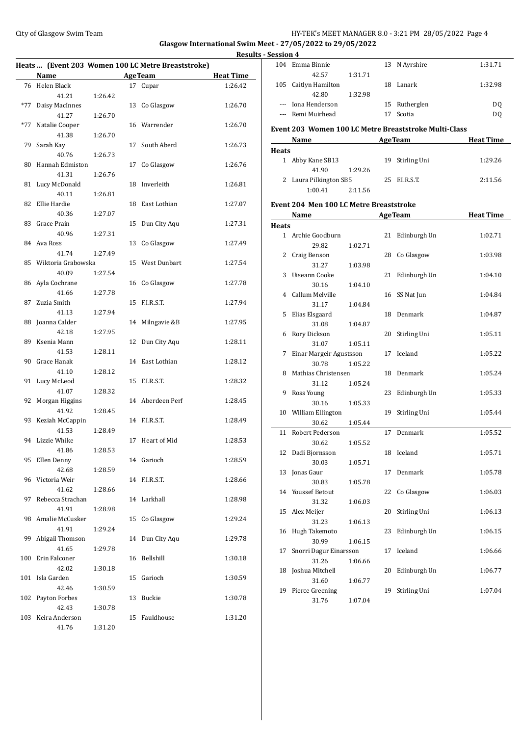# City of Glasgow Swim Team HY-TEK's MEET MANAGER 8.0 - 3:21 PM 28/05/2022 Page 4

**Glasgow International Swim Meet - 27/05/2022 to 29/05/2022**

|                           |         |                                                    |                  | <b>Results - Session 4</b> |     |
|---------------------------|---------|----------------------------------------------------|------------------|----------------------------|-----|
|                           |         | Heats  (Event 203 Women 100 LC Metre Breaststroke) |                  | 104 Em                     |     |
| Name                      |         | AgeTeam                                            | <b>Heat Time</b> |                            |     |
| 76 Helen Black            |         | 17 Cupar                                           | 1:26.42          | 105 Cai                    |     |
| 41.21                     | 1:26.42 |                                                    |                  |                            |     |
| *77 Daisy MacInnes        |         | 13 Co Glasgow                                      | 1:26.70          | --- Ion                    |     |
| 41.27                     | 1:26.70 |                                                    |                  | --- Rei                    |     |
| *77 Natalie Cooper        |         | 16 Warrender                                       | 1:26.70          |                            |     |
| 41.38                     | 1:26.70 |                                                    |                  | <b>Event 20</b>            |     |
| 79 Sarah Kay              |         | 17 South Aberd                                     | 1:26.73          |                            | Na  |
| 40.76                     | 1:26.73 |                                                    |                  | <b>Heats</b>               |     |
| 80 Hannah Edmiston        |         | 17 Co Glasgow                                      | 1:26.76          | 1 Abl                      |     |
| 41.31                     | 1:26.76 |                                                    |                  |                            |     |
| 81 Lucy McDonald          |         | 18 Inverleith                                      | 1:26.81          | 2 Lau                      |     |
| 40.11                     | 1:26.81 |                                                    |                  |                            |     |
| 82 Ellie Hardie           |         | 18 East Lothian                                    | 1:27.07          | <b>Event 20</b>            |     |
| 40.36                     | 1:27.07 |                                                    |                  |                            | Na  |
| 83 Grace Prain            |         | 15 Dun City Aqu                                    | 1:27.31          |                            |     |
| 40.96                     | 1:27.31 |                                                    |                  | <b>Heats</b>               |     |
| 84 Ava Ross               |         | 13 Co Glasgow                                      | 1:27.49          | 1 Arc                      |     |
| 41.74                     | 1:27.49 |                                                    |                  |                            |     |
| 85 Wiktoria Grabowska     |         | 15 West Dunbart                                    | 1:27.54          | 2 Cra                      |     |
| 40.09                     | 1:27.54 |                                                    |                  |                            |     |
| 86 Ayla Cochrane          |         | 16 Co Glasgow                                      | 1:27.78          | 3 Uis                      |     |
| 41.66                     | 1:27.78 |                                                    |                  |                            |     |
| 87 Zuzia Smith            |         | 15 F.I.R.S.T.                                      | 1:27.94          | 4 Cal                      |     |
| 41.13                     | 1:27.94 |                                                    |                  |                            |     |
|                           |         |                                                    |                  | 5 Elia                     |     |
| 88 Joanna Calder<br>42.18 | 1:27.95 | 14 Milngavie &B                                    | 1:27.95          |                            |     |
| 89 Ksenia Mann            |         |                                                    |                  | 6 Rol                      |     |
| 41.53                     | 1:28.11 | 12 Dun City Aqu                                    | 1:28.11          |                            |     |
| 90 Grace Hanak            |         | 14 East Lothian                                    | 1:28.12          | 7                          | Ein |
|                           |         |                                                    |                  |                            |     |
| 41.10                     | 1:28.12 |                                                    |                  | 8 Ma                       |     |
| 91 Lucy McLeod            |         | 15 F.I.R.S.T.                                      | 1:28.32          |                            |     |
| 41.07                     | 1:28.32 |                                                    |                  | 9 Ro:                      |     |
| 92 Morgan Higgins         |         | 14 Aberdeen Perf                                   | 1:28.45          |                            |     |
| 41.92                     | 1:28.45 |                                                    |                  | 10 Wi                      |     |
| 93 Keziah McCappin        |         | 14 F.I.R.S.T.                                      | 1:28.49          |                            |     |
| 41.53                     | 1:28.49 |                                                    |                  | 11 Rol                     |     |
| 94 Lizzie Whike           |         | 17 Heart of Mid                                    | 1:28.53          |                            |     |
| 41.86                     | 1:28.53 |                                                    |                  | 12 Da                      |     |
| 95 Ellen Denny            |         | 14 Garioch                                         | 1:28.59          |                            |     |
| 42.68                     | 1:28.59 |                                                    |                  | 13 Jon                     |     |
| 96 Victoria Weir          |         | 14 F.I.R.S.T.                                      | 1:28.66          |                            |     |
| 41.62                     | 1:28.66 |                                                    |                  | 14 You                     |     |
| 97 Rebecca Strachan       |         | 14 Larkhall                                        | 1:28.98          |                            |     |
| 41.91                     | 1:28.98 |                                                    |                  | 15 Ale                     |     |
| 98 Amalie McCusker        |         | 15 Co Glasgow                                      | 1:29.24          |                            |     |
| 41.91                     | 1:29.24 |                                                    |                  | 16 Hu                      |     |
| 99 Abigail Thomson        |         | 14 Dun City Aqu                                    | 1:29.78          |                            |     |
| 41.65                     | 1:29.78 |                                                    |                  | 17 Sno                     |     |
| 100 Erin Falconer         |         | 16 Bellshill                                       | 1:30.18          |                            |     |
| 42.02                     | 1:30.18 |                                                    |                  | 18 Jos                     |     |
| 101 Isla Garden           |         | 15 Garioch                                         | 1:30.59          |                            |     |
| 42.46                     | 1:30.59 |                                                    |                  | 19 Pie                     |     |
| 102 Payton Forbes         |         | 13 Buckie                                          | 1:30.78          |                            |     |
| 42.43                     | 1:30.78 |                                                    |                  |                            |     |
| 103 Keira Anderson        |         | 15 Fauldhouse                                      | 1:31.20          |                            |     |
| 41.76                     | 1:31.20 |                                                    |                  |                            |     |

| <u>session 4</u> |                                                                                                                                                                                                                               |         |    |                                                       |                  |
|------------------|-------------------------------------------------------------------------------------------------------------------------------------------------------------------------------------------------------------------------------|---------|----|-------------------------------------------------------|------------------|
|                  | 104 Emma Binnie<br>42.57                                                                                                                                                                                                      |         |    | 13 N Ayrshire                                         | 1:31.71          |
|                  | 105 Caitlyn Hamilton                                                                                                                                                                                                          | 1:31.71 |    | 18 Lanark                                             | 1:32.98          |
|                  | 42.80                                                                                                                                                                                                                         | 1:32.98 |    |                                                       |                  |
|                  | --- Iona Henderson                                                                                                                                                                                                            |         |    | 15 Rutherglen                                         | DQ               |
|                  | --- Remi Muirhead                                                                                                                                                                                                             |         | 17 | Scotia                                                | DQ               |
|                  |                                                                                                                                                                                                                               |         |    | Event 203 Women 100 LC Metre Breaststroke Multi-Class |                  |
|                  | Name                                                                                                                                                                                                                          |         |    | AgeTeam Heat Time                                     |                  |
| <b>Heats</b>     |                                                                                                                                                                                                                               |         |    |                                                       |                  |
|                  | 1 Abby Kane SB13                                                                                                                                                                                                              |         | 19 | Stirling Uni                                          | 1:29.26          |
|                  | 41.90                                                                                                                                                                                                                         | 1:29.26 |    |                                                       |                  |
|                  | 2 Laura Pilkington SB5                                                                                                                                                                                                        |         |    | 25 F.I.R.S.T.                                         | 2:11.56          |
|                  | 1:00.41                                                                                                                                                                                                                       | 2:11.56 |    |                                                       |                  |
|                  | Event 204 Men 100 LC Metre Breaststroke                                                                                                                                                                                       |         |    |                                                       |                  |
|                  | Name and the same state of the state of the state of the state of the state of the state of the state of the state of the state of the state of the state of the state of the state of the state of the state of the state of |         |    | <b>AgeTeam</b>                                        | <b>Heat Time</b> |
| <b>Heats</b>     |                                                                                                                                                                                                                               |         |    |                                                       |                  |
|                  | 1 Archie Goodburn                                                                                                                                                                                                             |         |    | 21 Edinburgh Un                                       | 1:02.71          |
|                  | 29.82<br>2 Craig Benson                                                                                                                                                                                                       | 1:02.71 |    | 28 Co Glasgow                                         | 1:03.98          |
|                  | 31.27                                                                                                                                                                                                                         | 1:03.98 |    |                                                       |                  |
|                  | 3 Uiseann Cooke                                                                                                                                                                                                               |         |    | 21 Edinburgh Un                                       | 1:04.10          |
|                  | 30.16                                                                                                                                                                                                                         | 1:04.10 |    |                                                       |                  |
|                  | 4 Callum Melville                                                                                                                                                                                                             |         |    | 16 SS Nat Jun                                         | 1:04.84          |
|                  | 31.17                                                                                                                                                                                                                         | 1:04.84 |    |                                                       |                  |
| 5                | Elias Elsgaard                                                                                                                                                                                                                |         |    | 18 Denmark                                            | 1:04.87          |
|                  | 31.08                                                                                                                                                                                                                         | 1:04.87 |    | Stirling Uni                                          |                  |
|                  | 6 Rory Dickson<br>31.07                                                                                                                                                                                                       | 1:05.11 | 20 |                                                       | 1:05.11          |
|                  | 7 Einar Margeir Agustsson                                                                                                                                                                                                     |         |    | 17 Iceland                                            | 1:05.22          |
|                  | 30.78                                                                                                                                                                                                                         | 1:05.22 |    |                                                       |                  |
|                  | 8 Mathias Christensen                                                                                                                                                                                                         |         |    | 18 Denmark                                            | 1:05.24          |
|                  | 31.12                                                                                                                                                                                                                         | 1:05.24 |    |                                                       |                  |
|                  | 9 Ross Young                                                                                                                                                                                                                  |         |    | 23 Edinburgh Un                                       | 1:05.33          |
|                  | 30.16                                                                                                                                                                                                                         | 1:05.33 |    |                                                       |                  |
|                  | 10 William Ellington<br>30.62                                                                                                                                                                                                 | 1:05.44 | 19 | Stirling Uni                                          | 1:05.44          |
| 11               | Robert Pederson                                                                                                                                                                                                               |         | 17 | Denmark                                               | 1:05.52          |
|                  | 30.62                                                                                                                                                                                                                         | 1:05.52 |    |                                                       |                  |
| 12               | Dadi Bjornsson                                                                                                                                                                                                                |         |    | 18 Iceland                                            | 1:05.71          |
|                  | 30.03                                                                                                                                                                                                                         | 1:05.71 |    |                                                       |                  |
| 13               | Jonas Gaur                                                                                                                                                                                                                    |         | 17 | Denmark                                               | 1:05.78          |
|                  | 30.83                                                                                                                                                                                                                         | 1:05.78 |    |                                                       |                  |
| 14               | <b>Youssef Betout</b>                                                                                                                                                                                                         |         | 22 | Co Glasgow                                            | 1:06.03          |
| 15               | 31.32<br>Alex Meijer                                                                                                                                                                                                          | 1:06.03 | 20 | Stirling Uni                                          | 1:06.13          |
|                  | 31.23                                                                                                                                                                                                                         | 1:06.13 |    |                                                       |                  |
| 16               | Hugh Takemoto                                                                                                                                                                                                                 |         | 23 | Edinburgh Un                                          | 1:06.15          |
|                  | 30.99                                                                                                                                                                                                                         | 1:06.15 |    |                                                       |                  |
| 17               | Snorri Dagur Einarsson                                                                                                                                                                                                        |         | 17 | Iceland                                               | 1:06.66          |
|                  | 31.26                                                                                                                                                                                                                         | 1:06.66 |    |                                                       |                  |
| 18               | Joshua Mitchell                                                                                                                                                                                                               |         | 20 | Edinburgh Un                                          | 1:06.77          |
| 19               | 31.60<br>Pierce Greening                                                                                                                                                                                                      | 1:06.77 | 19 | Stirling Uni                                          | 1:07.04          |
|                  | 31.76                                                                                                                                                                                                                         | 1:07.04 |    |                                                       |                  |
|                  |                                                                                                                                                                                                                               |         |    |                                                       |                  |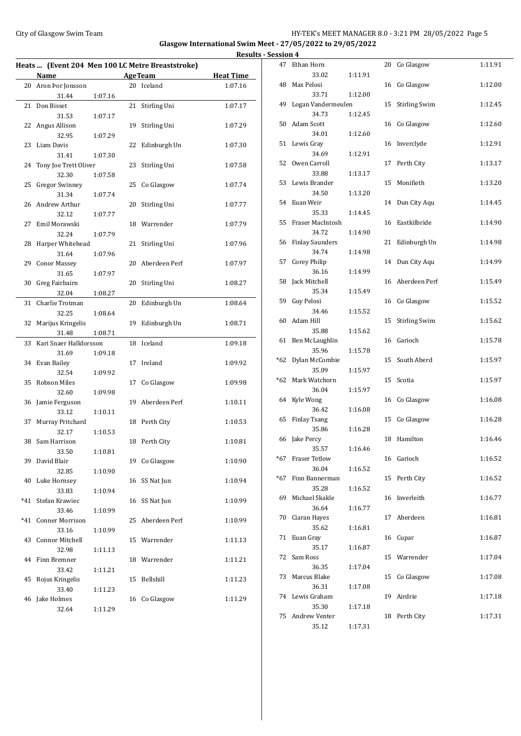# City of Glasgow Swim Team Team Feam Fermion States of the HY-TEK's MEET MANAGER 8.0 - 3:21 PM 28/05/2022 Page 5

**Glasgow International Swim Meet - 27/05/2022 to 29/05/2022**

|                           |         |                                                  | Results - Session 4 |          |
|---------------------------|---------|--------------------------------------------------|---------------------|----------|
|                           |         | Heats  (Event 204 Men 100 LC Metre Breaststroke) |                     | 47 Etha  |
| Name                      |         | <b>AgeTeam</b>                                   | <b>Heat Time</b>    |          |
| 20 Aron Þor Jonsson       |         | 20 Iceland                                       | 1:07.16             | 48 Max   |
| 31.44                     | 1:07.16 |                                                  |                     |          |
| 21 Don Bisset             |         | 21 Stirling Uni                                  | 1:07.17             | 49 Loga  |
| 31.53                     | 1:07.17 |                                                  |                     |          |
| 22 Angus Allison          |         | 19 Stirling Uni                                  | 1:07.29             | 50 Adaı  |
| 32.95                     | 1:07.29 |                                                  |                     |          |
| 23 Liam Davis             |         | 22 Edinburgh Un                                  | 1:07.30             | 51 Lew   |
| 31.41                     | 1:07.30 |                                                  |                     |          |
| 24 Tony Joe Trett Oliver  |         | 23 Stirling Uni                                  | 1:07.58             | 52 Owe   |
| 32.30                     | 1:07.58 |                                                  |                     |          |
| 25 Gregor Swinney         |         | 25 Co Glasgow                                    | 1:07.74             | 53 Lew   |
| 31.34                     | 1:07.74 |                                                  |                     |          |
| 26 Andrew Arthur          |         | 20 Stirling Uni                                  | 1:07.77             | 54 Euar  |
| 32.12                     | 1:07.77 |                                                  |                     |          |
| 27 Emil Morawski          |         | 18 Warrender                                     | 1:07.79             | 55 Fras  |
| 32.24                     | 1:07.79 |                                                  |                     |          |
| 28 Harper Whitehead       |         | 21 Stirling Uni                                  | 1:07.96             | 56 Finla |
| 31.64                     | 1:07.96 |                                                  |                     |          |
| 29 Conor Massey           |         | 20 Aberdeen Perf                                 | 1:07.97             | 57 Core  |
| 31.65                     | 1:07.97 |                                                  |                     |          |
| 30 Greg Fairbairn         |         | 20 Stirling Uni                                  | 1:08.27             | 58 Jack  |
| 32.04                     | 1:08.27 |                                                  |                     |          |
| 31 Charlie Trotman        |         | 20 Edinburgh Un                                  | 1:08.64             | 59 Guy   |
| 32.25                     | 1:08.64 |                                                  |                     |          |
| 32 Marijus Kringelis      |         | 19 Edinburgh Un                                  | 1:08.71             | 60 Adaı  |
| 31.48                     | 1:08.71 |                                                  |                     |          |
| 33 Kari Snaer Halldorsson |         | 18 Iceland                                       | 1:09.18             | 61 Ben   |
| 31.69                     | 1:09.18 |                                                  |                     |          |
| 34 Evan Bailey            |         | 17 Ireland                                       | 1:09.92             | *62 Dyla |
| 32.54                     | 1:09.92 |                                                  |                     |          |
| 35 Robson Miles           |         | 17 Co Glasgow                                    | 1:09.98             | *62 Marl |
| 32.60                     | 1:09.98 |                                                  |                     |          |
| 36 Jamie Ferguson         |         | 19 Aberdeen Perf                                 | 1:10.11             | 64 Kyle  |
| 33.12                     | 1:10.11 |                                                  |                     |          |
| 37 Murray Pritchard       |         | 18 Perth City                                    | 1:10.53             | 65 Finla |
| 32.17                     | 1:10.53 |                                                  |                     |          |
| 38 Sam Harrison           |         | 18 Perth City                                    | 1:10.81             | 66 Jake  |
| 33.50                     | 1:10.81 |                                                  |                     |          |
| 39 David Blair            |         | 19 Co Glasgow                                    | 1:10.90             | *67 Fras |
| 32.85                     | 1:10.90 |                                                  |                     |          |
| 40 Luke Hornsey           |         | 16 SS Nat Jun                                    | 1:10.94             | *67 Finn |
| 33.83                     | 1:10.94 |                                                  |                     | 69 Mich  |
| *41 Stefan Krawiec        |         | 16 SS Nat Jun                                    | 1:10.99             |          |
| 33.46                     | 1:10.99 |                                                  |                     | 70 Ciara |
| *41 Conner Morrison       |         | 25 Aberdeen Perf                                 | 1:10.99             |          |
| 33.16                     | 1:10.99 |                                                  |                     | 71 Euar  |
| 43 Connor Mitchell        |         | 15 Warrender                                     | 1:11.13             |          |
| 32.98                     | 1:11.13 |                                                  |                     | 72 Sam   |
| 44 Finn Bremner           |         | 18 Warrender                                     | 1:11.21             |          |
| 33.42                     | 1:11.21 |                                                  |                     | 73 Maro  |
| 45 Rojus Kringelis        |         | 15 Bellshill                                     | 1:11.23             |          |
| 33.40                     | 1:11.23 |                                                  |                     | 74 Lew   |
| 46 Jake Holmes            |         | 16 Co Glasgow                                    | 1:11.29             |          |
| 32.64                     | 1:11.29 |                                                  |                     |          |

| <u>ssion 4</u> |                             |         |    |                      |         |
|----------------|-----------------------------|---------|----|----------------------|---------|
| 47             | Ethan Horn                  |         | 20 | Co Glasgow           | 1:11.91 |
|                | 33.02                       | 1:11.91 |    |                      |         |
| 48             | Max Pelosi                  |         | 16 | Co Glasgow           | 1:12.00 |
| 49             | 33.71<br>Logan Vandermeulen | 1:12.00 | 15 | <b>Stirling Swim</b> | 1:12.45 |
|                | 34.73                       | 1:12.45 |    |                      |         |
| 50             | Adam Scott                  |         | 16 | Co Glasgow           | 1:12.60 |
|                | 34.01                       | 1:12.60 |    |                      |         |
| 51             | Lewis Gray                  |         |    | 16 Inverclyde        | 1:12.91 |
|                | 34.69                       | 1:12.91 |    |                      |         |
| 52             | Owen Carroll                |         | 17 | Perth City           | 1:13.17 |
|                | 33.88                       | 1:13.17 |    |                      |         |
| 53             | Lewis Brander               |         | 15 | Monifieth            | 1:13.20 |
| 54             | 34.50<br>Euan Weir          | 1:13.20 | 14 | Dun City Aqu         | 1:14.45 |
|                | 35.33                       | 1:14.45 |    |                      |         |
| 55             | Fraser MacIntosh            |         | 16 | Eastkilbride         | 1:14.90 |
|                | 34.72                       | 1:14.90 |    |                      |         |
| 56             | <b>Finlay Saunders</b>      |         | 21 | Edinburgh Un         | 1:14.98 |
|                | 34.74                       | 1:14.98 |    |                      |         |
| 57             | <b>Corey Philip</b>         |         | 14 | Dun City Aqu         | 1:14.99 |
|                | 36.16                       | 1:14.99 |    |                      |         |
| 58             | Jack Mitchell               |         | 16 | Aberdeen Perf        | 1:15.49 |
| 59             | 35.34<br>Guy Pelosi         | 1:15.49 | 16 | Co Glasgow           | 1:15.52 |
|                | 34.46                       | 1:15.52 |    |                      |         |
| 60             | Adam Hill                   |         | 15 | <b>Stirling Swim</b> | 1:15.62 |
|                | 35.88                       | 1:15.62 |    |                      |         |
| 61             | Ben McLaughlin              |         |    | 16 Garioch           | 1:15.78 |
|                | 35.96                       | 1:15.78 |    |                      |         |
| *62            | Dylan McCombie              |         | 15 | South Aberd          | 1:15.97 |
|                | 35.09                       | 1:15.97 |    |                      |         |
| *62            | Mark Watchorn<br>36.04      |         | 15 | Scotia               | 1:15.97 |
| 64             | Kyle Wong                   | 1:15.97 | 16 | Co Glasgow           | 1:16.08 |
|                | 36.42                       | 1:16.08 |    |                      |         |
| 65             | <b>Finlay Tsang</b>         |         | 15 | Co Glasgow           | 1:16.28 |
|                | 35.86                       | 1:16.28 |    |                      |         |
| 66             | Jake Percy                  |         | 18 | Hamilton             | 1:16.46 |
|                | 35.57                       | 1:16.46 |    |                      |         |
| *67            | <b>Fraser Tetlow</b>        |         |    | 16 Garioch           | 1:16.52 |
| *67            | 36.04<br>Finn Bannerman     | 1:16.52 |    |                      |         |
|                | 35.28                       | 1:16.52 | 15 | Perth City           | 1:16.52 |
| 69             | Michael Skakle              |         |    | 16 Inverleith        | 1:16.77 |
|                | 36.64                       | 1:16.77 |    |                      |         |
| 70             | Ciaran Hayes                |         | 17 | Aberdeen             | 1:16.81 |
|                | 35.62                       | 1:16.81 |    |                      |         |
| 71             | Euan Gray                   |         | 16 | Cupar                | 1:16.87 |
|                | 35.17                       | 1:16.87 |    |                      |         |
| 72             | Sam Ross                    |         |    | 15 Warrender         | 1:17.04 |
| 73             | 36.35<br>Marcus Blake       | 1:17.04 | 15 | Co Glasgow           | 1:17.08 |
|                | 36.31                       | 1:17.08 |    |                      |         |
| 74             | Lewis Graham                |         | 19 | Airdrie              | 1:17.18 |
|                | 35.30                       | 1:17.18 |    |                      |         |
| 75             | Andrew Venter               |         | 18 | Perth City           | 1:17.31 |
|                | 35.12                       | 1:17.31 |    |                      |         |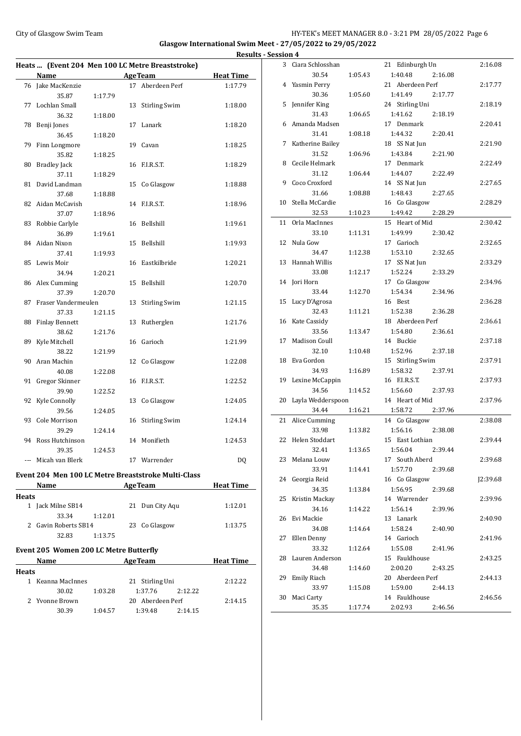# City of Glasgow Swim Team Team Team Fermion City of Glasgow Swim Team Fermion City of Glasgow Swim Team Fermion City of Glasgow Swim Team Fermion City of Glasgow Swim Team Fermion City of Glasgow Swim Team Fermion City of **Glasgow International Swim Meet - 27/05/2022 to 29/05/2022 Results - Session 4**

 $\overline{\phantom{0}}$ 

 $\frac{1}{2}$ 

 $\overline{\phantom{0}}$ 

|                                               |                                                                                                                                                                                                                                     |         |         | Heats  (Event 204 Men 100 LC Metre Breaststroke)    |                  |  |
|-----------------------------------------------|-------------------------------------------------------------------------------------------------------------------------------------------------------------------------------------------------------------------------------------|---------|---------|-----------------------------------------------------|------------------|--|
|                                               | Name                                                                                                                                                                                                                                |         | AgeTeam |                                                     | <b>Heat Time</b> |  |
|                                               | 76 Jake MacKenzie                                                                                                                                                                                                                   |         |         | 17 Aberdeen Perf                                    | 1:17.79          |  |
|                                               | 35.87                                                                                                                                                                                                                               | 1:17.79 |         |                                                     |                  |  |
| 77                                            | Lochlan Small                                                                                                                                                                                                                       |         | 13      | <b>Stirling Swim</b>                                | 1:18.00          |  |
|                                               | 36.32                                                                                                                                                                                                                               | 1:18.00 |         |                                                     |                  |  |
| 78                                            | Benji Jones                                                                                                                                                                                                                         |         | 17      | Lanark                                              | 1:18.20          |  |
|                                               | 36.45                                                                                                                                                                                                                               | 1:18.20 |         |                                                     |                  |  |
| 79                                            | Finn Longmore                                                                                                                                                                                                                       |         |         | 19 Cavan                                            | 1:18.25          |  |
|                                               | 35.82                                                                                                                                                                                                                               | 1:18.25 |         |                                                     |                  |  |
| 80                                            | <b>Bradley Jack</b>                                                                                                                                                                                                                 |         | 16      | F.I.R.S.T.                                          | 1:18.29          |  |
|                                               | 37.11                                                                                                                                                                                                                               | 1:18.29 |         |                                                     |                  |  |
| 81                                            | David Landman                                                                                                                                                                                                                       |         | 15      | Co Glasgow                                          | 1:18.88          |  |
|                                               | 37.68                                                                                                                                                                                                                               | 1:18.88 |         |                                                     |                  |  |
| 82                                            | Aidan McCavish                                                                                                                                                                                                                      |         | 14      | F.I.R.S.T.                                          | 1:18.96          |  |
|                                               | 37.07                                                                                                                                                                                                                               | 1:18.96 |         |                                                     |                  |  |
| 83                                            | Robbie Carlyle                                                                                                                                                                                                                      |         | 16      | Bellshill                                           | 1:19.61          |  |
|                                               | 36.89                                                                                                                                                                                                                               | 1:19.61 |         |                                                     |                  |  |
|                                               | 84 Aidan Nixon                                                                                                                                                                                                                      |         | 15      | Bellshill                                           | 1:19.93          |  |
|                                               | 37.41                                                                                                                                                                                                                               | 1:19.93 |         |                                                     |                  |  |
| 85                                            | Lewis Moir                                                                                                                                                                                                                          |         | 16      | Eastkilbride                                        | 1:20.21          |  |
|                                               | 34.94                                                                                                                                                                                                                               | 1:20.21 |         |                                                     |                  |  |
|                                               | 86 Alex Cumming                                                                                                                                                                                                                     |         | 15      | Bellshill                                           | 1:20.70          |  |
|                                               | 37.39                                                                                                                                                                                                                               | 1:20.70 |         |                                                     |                  |  |
| 87                                            | Fraser Vandermeulen<br>37.33                                                                                                                                                                                                        |         | 13      | <b>Stirling Swim</b>                                | 1:21.15          |  |
| 88                                            | <b>Finlay Bennett</b>                                                                                                                                                                                                               | 1:21.15 | 13      | Rutherglen                                          | 1:21.76          |  |
|                                               | 38.62                                                                                                                                                                                                                               | 1:21.76 |         |                                                     |                  |  |
| 89                                            | Kyle Mitchell                                                                                                                                                                                                                       |         | 16      | Garioch                                             | 1:21.99          |  |
|                                               | 38.22                                                                                                                                                                                                                               | 1:21.99 |         |                                                     |                  |  |
| 90                                            | Aran Machin                                                                                                                                                                                                                         |         | 12      | Co Glasgow                                          | 1:22.08          |  |
|                                               | 40.08                                                                                                                                                                                                                               | 1:22.08 |         |                                                     |                  |  |
| 91                                            | Gregor Skinner                                                                                                                                                                                                                      |         | 16      | F.I.R.S.T.                                          | 1:22.52          |  |
|                                               | 39.90                                                                                                                                                                                                                               | 1:22.52 |         |                                                     |                  |  |
| 92                                            | Kyle Connolly                                                                                                                                                                                                                       |         | 13      | Co Glasgow                                          | 1:24.05          |  |
|                                               | 39.56                                                                                                                                                                                                                               | 1:24.05 |         |                                                     |                  |  |
| 93                                            | Cole Morrison                                                                                                                                                                                                                       |         | 16      | <b>Stirling Swim</b>                                | 1:24.14          |  |
|                                               | 39.29                                                                                                                                                                                                                               | 1:24.14 |         |                                                     |                  |  |
|                                               | 94 Ross Hutchinson                                                                                                                                                                                                                  |         |         | 14 Monifieth                                        | 1:24.53          |  |
|                                               | 39.35                                                                                                                                                                                                                               | 1:24.53 |         |                                                     |                  |  |
|                                               | --- Micah van Blerk                                                                                                                                                                                                                 |         |         | 17 Warrender                                        | DQ               |  |
|                                               |                                                                                                                                                                                                                                     |         |         | Event 204 Men 100 LC Metre Breaststroke Multi-Class |                  |  |
|                                               |                                                                                                                                                                                                                                     |         |         | Name AgeTeam Heat Time                              |                  |  |
| <b>Heats</b>                                  |                                                                                                                                                                                                                                     |         |         |                                                     |                  |  |
|                                               | 1 Jack Milne SB14                                                                                                                                                                                                                   |         |         | 21 Dun City Aqu                                     | 1:12.01          |  |
|                                               | 33.34                                                                                                                                                                                                                               | 1:12.01 |         |                                                     |                  |  |
|                                               | 2 Gavin Roberts SB14                                                                                                                                                                                                                |         |         | 23 Co Glasgow                                       | 1:13.75          |  |
|                                               | 32.83                                                                                                                                                                                                                               | 1:13.75 |         |                                                     |                  |  |
| <b>Event 205 Women 200 LC Metre Butterfly</b> |                                                                                                                                                                                                                                     |         |         |                                                     |                  |  |
|                                               | Name <u>and</u> the same of the same of the same of the same of the same of the same of the same of the same of the same of the same of the same of the same of the same of the same of the same of the same of the same of the sam |         |         | <b>AgeTeam</b>                                      | <b>Heat Time</b> |  |
| <b>Heats</b>                                  |                                                                                                                                                                                                                                     |         |         |                                                     |                  |  |
|                                               | 1 Keanna MacInnes                                                                                                                                                                                                                   |         |         | 21 Stirling Uni                                     | 2:12.22          |  |
|                                               | 30.02                                                                                                                                                                                                                               | 1:03.28 |         | 1:37.76<br>2:12.22                                  |                  |  |
|                                               | 2 Yvonne Brown                                                                                                                                                                                                                      |         |         | 20 Aberdeen Perf                                    | 2:14.15          |  |
|                                               | 30.39                                                                                                                                                                                                                               | 1:04.57 |         | 1:39.48 2:14.15                                     |                  |  |

| SSIOII 4 |                      |         |                    |          |
|----------|----------------------|---------|--------------------|----------|
| 3        | Ciara Schlosshan     |         | 21 Edinburgh Un    | 2:16.08  |
|          | 30.54                | 1:05.43 | 1:40.48<br>2:16.08 |          |
| 4        | Yasmin Perry         |         | 21 Aberdeen Perf   | 2:17.77  |
|          | 30.36                | 1:05.60 | 1:41.49<br>2:17.77 |          |
| 5        | Jennifer King        |         | 24 Stirling Uni    | 2:18.19  |
|          | 31.43                | 1:06.65 | 1:41.62<br>2:18.19 |          |
| 6        | Amanda Madsen        |         | 17 Denmark         | 2:20.41  |
|          | 31.41                | 1:08.18 | 1:44.32<br>2:20.41 |          |
| 7        | Katherine Bailey     |         | 18 SS Nat Jun      | 2:21.90  |
|          | 31.52                | 1:06.96 | 1:43.84<br>2:21.90 |          |
| 8        | Cecile Helmark       |         | 17 Denmark         | 2:22.49  |
|          | 31.12                | 1:06.44 | 1:44.07<br>2:22.49 |          |
|          | Coco Croxford        |         |                    |          |
| 9        |                      |         | 14 SS Nat Jun      | 2:27.65  |
|          | 31.66                | 1:08.88 | 1:48.43<br>2:27.65 |          |
| 10       | Stella McCardie      |         | 16 Co Glasgow      | 2:28.29  |
|          | 32.53                | 1:10.23 | 1:49.42<br>2:28.29 |          |
| 11       | Orla MacInnes        |         | 15 Heart of Mid    | 2:30.42  |
|          | 33.10                | 1:11.31 | 1:49.99<br>2:30.42 |          |
| 12       | Nula Gow             |         | 17 Garioch         | 2:32.65  |
|          | 34.47                | 1:12.38 | 1:53.10<br>2:32.65 |          |
| 13       | Hannah Willis        |         | 17 SS Nat Jun      | 2:33.29  |
|          | 33.08                | 1:12.17 | 1:52.24<br>2:33.29 |          |
| 14       | Jori Horn            |         | 17 Co Glasgow      | 2:34.96  |
|          | 33.44                | 1:12.70 | 1:54.34<br>2:34.96 |          |
| 15       | Lucy D'Agrosa        |         | 16 Best            | 2:36.28  |
|          | 32.43                | 1:11.21 | 1:52.38<br>2:36.28 |          |
|          | 16 Kate Cassidy      |         | 18 Aberdeen Perf   | 2:36.61  |
|          |                      |         |                    |          |
|          | 33.56                | 1:13.47 | 1:54.80<br>2:36.61 |          |
| 17       | <b>Madison Coull</b> |         | 14 Buckie          | 2:37.18  |
|          | 32.10                | 1:10.48 | 1:52.96<br>2:37.18 |          |
| 18       | Eva Gordon           |         | 15 Stirling Swim   | 2:37.91  |
|          | 34.93                | 1:16.89 | 1:58.32<br>2:37.91 |          |
| 19       | Lexine McCappin      |         | 16 F.I.R.S.T.      | 2:37.93  |
|          | 34.56                | 1:14.52 | 1:56.60<br>2:37.93 |          |
| 20       | Layla Wedderspoon    |         | 14 Heart of Mid    | 2:37.96  |
|          | 34.44                | 1:16.21 | 1:58.72<br>2:37.96 |          |
| 21       | Alice Cumming        |         | 14 Co Glasgow      | 2:38.08  |
|          | 33.98                | 1:13.82 | 1:56.16<br>2:38.08 |          |
| 22       | Helen Stoddart       |         | 15 East Lothian    | 2:39.44  |
|          | 32.41                | 1:13.65 | 1:56.04<br>2:39.44 |          |
| 23       | Melana Louw          |         | 17 South Aberd     | 2:39.68  |
|          | 33.91                | 1:14.41 | 1:57.70<br>2:39.68 |          |
| 24       | Georgia Reid         |         | 16 Co Glasgow      | ]2:39.68 |
|          | 34.35                |         | 1:56.95            |          |
|          |                      | 1:13.84 | 2:39.68            |          |
| 25       | Kristin Mackay       |         | 14 Warrender       | 2:39.96  |
|          | 34.16                | 1:14.22 | 1:56.14<br>2:39.96 |          |
| 26       | Evi Mackie           |         | 13 Lanark          | 2:40.90  |
|          | 34.08                | 1:14.64 | 1:58.24<br>2:40.90 |          |
| 27       | Ellen Denny          |         | 14 Garioch         | 2:41.96  |
|          | 33.32                | 1:12.64 | 1:55.08<br>2:41.96 |          |
| 28       | Lauren Anderson      |         | 15 Fauldhouse      | 2:43.25  |
|          | 34.48                | 1:14.60 | 2:00.20<br>2:43.25 |          |
| 29       | Emily Riach          |         | 20 Aberdeen Perf   | 2:44.13  |
|          | 33.97                | 1:15.08 | 1:59.00<br>2:44.13 |          |
| 30       |                      |         | 14 Fauldhouse      | 2:46.56  |
|          |                      |         |                    |          |
|          | Maci Carty<br>35.35  | 1:17.74 | 2:02.93<br>2:46.56 |          |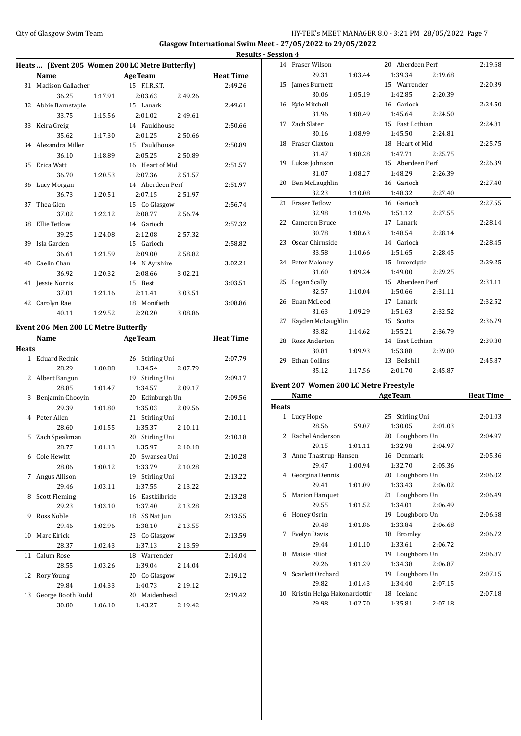# City of Glasgow Swim Team HY-TEK's MEET MANAGER 8.0 - 3:21 PM 28/05/2022 Page 7 **Glasgow International Swim Meet - 27/05/2022 to 29/05/2022 Results - Session 4**

|    |                      |         | Heats  (Event 205 Women 200 LC Metre Butterfly) |                  |
|----|----------------------|---------|-------------------------------------------------|------------------|
|    | Name                 |         | <b>Example 2</b> AgeTeam                        | <b>Heat Time</b> |
|    | 31 Madison Gallacher |         | 15 F.I.R.S.T.                                   | 2:49.26          |
|    | 36.25                | 1:17.91 | 2:03.63<br>2:49.26                              |                  |
|    | 32 Abbie Barnstaple  |         | 15 Lanark                                       | 2:49.61          |
|    | 33.75                | 1:15.56 | 2:01.02<br>2:49.61                              |                  |
|    | 33 Keira Greig       |         | 14 Fauldhouse                                   | 2:50.66          |
|    | 35.62                | 1:17.30 | 2:01.25<br>2:50.66                              |                  |
|    | 34 Alexandra Miller  |         | 15 Fauldhouse                                   | 2:50.89          |
|    | 36.10                | 1:18.89 | 2:05.25<br>2:50.89                              |                  |
| 35 | Erica Watt           |         | 16 Heart of Mid                                 | 2:51.57          |
|    | 36.70                | 1:20.53 | 2:07.36<br>2:51.57                              |                  |
|    | 36 Lucy Morgan       |         | 14 Aberdeen Perf                                | 2:51.97          |
|    | 36.73                | 1:20.51 | 2:07.15<br>2:51.97                              |                  |
| 37 | Thea Glen            |         | 15 Co Glasgow                                   | 2:56.74          |
|    | 37.02                | 1:22.12 | 2:08.77<br>2:56.74                              |                  |
| 38 | Ellie Tetlow         |         | 14 Garioch                                      | 2:57.32          |
|    | 39.25                | 1:24.08 | 2:12.08<br>2:57.32                              |                  |
|    | 39 Isla Garden       |         | 15 Garioch                                      | 2:58.82          |
|    | 36.61                | 1:21.59 | 2:09.00<br>2:58.82                              |                  |
|    | 40 Caelin Chan       |         | 14 N Ayrshire                                   | 3:02.21          |
|    | 36.92                | 1:20.32 | 2:08.66<br>3:02.21                              |                  |
|    | 41 Jessie Norris     |         | 15 Best                                         | 3:03.51          |
|    | 37.01                | 1:21.16 | 2:11.41<br>3:03.51                              |                  |
| 42 | Carolyn Rae          |         | 18 Monifieth                                    | 3:08.86          |
|    | 40.11                | 1:29.52 | 2:20.20<br>3:08.86                              |                  |

# **Event 206 Men 200 LC Metre Butterfly**<br>Name AgeTea

|              | Name                 |         | <b>AgeTeam</b>     | <b>Heat Time</b> |
|--------------|----------------------|---------|--------------------|------------------|
| <b>Heats</b> |                      |         |                    |                  |
|              | 1 Eduard Rednic      |         | 26 Stirling Uni    | 2:07.79          |
|              | 28.29                | 1:00.88 | 1:34.54<br>2:07.79 |                  |
|              | 2 Albert Bangun      |         | 19 Stirling Uni    | 2:09.17          |
|              | 28.85                | 1:01.47 | 1:34.57 2:09.17    |                  |
| 3            | Benjamin Chooyin     |         | 20 Edinburgh Un    | 2:09.56          |
|              | 29.39                | 1:01.80 | 1:35.03<br>2:09.56 |                  |
|              | 4 Peter Allen        |         | 21 Stirling Uni    | 2:10.11          |
|              | 28.60                | 1:01.55 | 1:35.37<br>2:10.11 |                  |
| 5            | Zach Speakman        |         | 20 Stirling Uni    | 2:10.18          |
|              | 28.77                | 1:01.13 | 1:35.97 2:10.18    |                  |
|              | 6 Cole Hewitt        |         | 20 Swansea Uni     | 2:10.28          |
|              | 28.06                | 1:00.12 | 1:33.79<br>2:10.28 |                  |
| 7            | Angus Allison        |         | 19 Stirling Uni    | 2:13.22          |
|              | 29.46                | 1:03.11 | 1:37.55<br>2:13.22 |                  |
| 8            | <b>Scott Fleming</b> |         | 16 Eastkilbride    | 2:13.28          |
|              | 29.23                | 1:03.10 | 1:37.40 2:13.28    |                  |
| 9            | Ross Noble           |         | 18 SS Nat Jun      | 2:13.55          |
|              | 29.46                | 1:02.96 | 1:38.10<br>2:13.55 |                  |
| 10           | Marc Elrick          |         | 23 Co Glasgow      | 2:13.59          |
|              | 28.37                | 1:02.43 | 1:37.13<br>2:13.59 |                  |
|              | 11 Calum Rose        |         | 18 Warrender       | 2:14.04          |
|              | 28.55                | 1:03.26 | 1:39.04<br>2:14.04 |                  |
| 12           | Rory Young           |         | 20 Co Glasgow      | 2:19.12          |
|              | 29.84                | 1:04.33 | 1:40.73<br>2:19.12 |                  |
| 13           | George Booth Rudd    |         | 20 Maidenhead      | 2:19.42          |
|              | 30.80                | 1:06.10 | 1:43.27<br>2:19.42 |                  |

| <u> эсээіліі 4</u> |                    |         |                  |         |
|--------------------|--------------------|---------|------------------|---------|
|                    | 14 Fraser Wilson   |         | 20 Aberdeen Perf | 2:19.68 |
|                    | 29.31              | 1:03.44 | 1:39.34          | 2:19.68 |
|                    | 15 James Burnett   |         | 15 Warrender     | 2:20.39 |
|                    | 30.06              | 1:05.19 | 1:42.85          | 2:20.39 |
|                    | 16 Kyle Mitchell   |         | 16 Garioch       | 2:24.50 |
|                    | 31.96              | 1:08.49 | 1:45.64          | 2:24.50 |
|                    | 17 Zach Slater     |         | 15 East Lothian  | 2:24.81 |
|                    | 30.16              | 1:08.99 | 1:45.50 2:24.81  |         |
|                    | 18 Fraser Claxton  |         | 18 Heart of Mid  | 2:25.75 |
|                    | 31.47              | 1:08.28 | 1:47.71          | 2:25.75 |
|                    | 19 Lukas Johnson   |         | 15 Aberdeen Perf | 2:26.39 |
|                    | 31.07              | 1:08.27 | 1:48.29          | 2:26.39 |
|                    | 20 Ben McLaughlin  |         | 16 Garioch       | 2:27.40 |
|                    | 32.23              | 1:10.08 | 1:48.32          | 2:27.40 |
|                    | 21 Fraser Tetlow   |         | 16 Garioch       | 2:27.55 |
|                    | 32.98              | 1:10.96 | 1:51.12          | 2:27.55 |
|                    | 22 Cameron Bruce   |         | 17 Lanark        | 2:28.14 |
|                    | 30.78              | 1:08.63 | 1:48.54          | 2:28.14 |
|                    | 23 Oscar Chirnside |         | 14 Garioch       | 2:28.45 |
|                    | 33.58              | 1:10.66 | 1:51.65          | 2:28.45 |
|                    | 24 Peter Maloney   |         | 15 Inverclyde    | 2:29.25 |
|                    | 31.60              | 1:09.24 | 1:49.00          | 2:29.25 |
|                    | 25 Logan Scally    |         | 15 Aberdeen Perf | 2:31.11 |
|                    | 32.57              | 1:10.04 | 1:50.66          | 2:31.11 |
|                    | 26 Euan McLeod     |         | 17 Lanark        | 2:32.52 |
|                    | 31.63              | 1:09.29 | 1:51.63          | 2:32.52 |
| 27                 | Kayden McLaughlin  |         | 15 Scotia        | 2:36.79 |
|                    | 33.82              | 1:14.62 | 1:55.21          | 2:36.79 |
|                    | 28 Ross Anderton   |         | 14 East Lothian  | 2:39.80 |
|                    | 30.81              | 1:09.93 | 1:53.88          | 2:39.80 |
| 29                 | Ethan Collins      |         | 13 Bellshill     | 2:45.87 |
|                    | 35.12              | 1:17.56 | 2:01.70          | 2:45.87 |

# **Event 207 Women 200 LC Metre Freestyle**

|              | EVEIL ZU? WOMEN ZOU LC MELLE FLEESLYIE<br>Name |         | <b>AgeTeam</b>  |         | <b>Heat Time</b> |
|--------------|------------------------------------------------|---------|-----------------|---------|------------------|
|              |                                                |         |                 |         |                  |
| <b>Heats</b> |                                                |         |                 |         |                  |
|              | 1 Lucy Hope                                    |         | 25 Stirling Uni |         | 2:01.03          |
|              | 28.56                                          | 59.07   | 1:30.05         | 2:01.03 |                  |
|              | 2 Rachel Anderson                              |         | 20 Loughboro Un |         | 2:04.97          |
|              | 29.15                                          | 1:01.11 | 1:32.98         | 2:04.97 |                  |
|              | 3 Anne Thastrup-Hansen                         |         | 16 Denmark      |         | 2:05.36          |
|              | 29.47                                          | 1:00.94 | 1:32.70         | 2:05.36 |                  |
|              | 4 Georgina Dennis                              |         | 20 Loughboro Un |         | 2:06.02          |
|              | 29.41                                          | 1:01.09 | 1:33.43         | 2:06.02 |                  |
|              | 5 Marion Hanquet                               |         | 21 Loughboro Un |         | 2:06.49          |
|              | 29.55                                          | 1:01.52 | 1:34.01         | 2:06.49 |                  |
| 6            | Honey Osrin                                    |         | 19 Loughboro Un |         | 2:06.68          |
|              | 29.48                                          | 1:01.86 | 1:33.84         | 2:06.68 |                  |
| 7            | Evelyn Davis                                   |         | 18 Bromley      |         | 2:06.72          |
|              | 29.44                                          | 1:01.10 | 1:33.61         | 2:06.72 |                  |
| 8            | Maisie Elliot                                  |         | 19 Loughboro Un |         | 2:06.87          |
|              | 29.26                                          | 1:01.29 | 1:34.38         | 2:06.87 |                  |
|              | 9 Scarlett Orchard                             |         | 19 Loughboro Un |         | 2:07.15          |
|              | 29.82                                          | 1:01.43 | 1:34.40         | 2:07.15 |                  |
|              | 10 Kristin Helga Hakonardottir                 |         | 18 Iceland      |         | 2:07.18          |
|              | 29.98                                          | 1:02.70 | 1:35.81         | 2:07.18 |                  |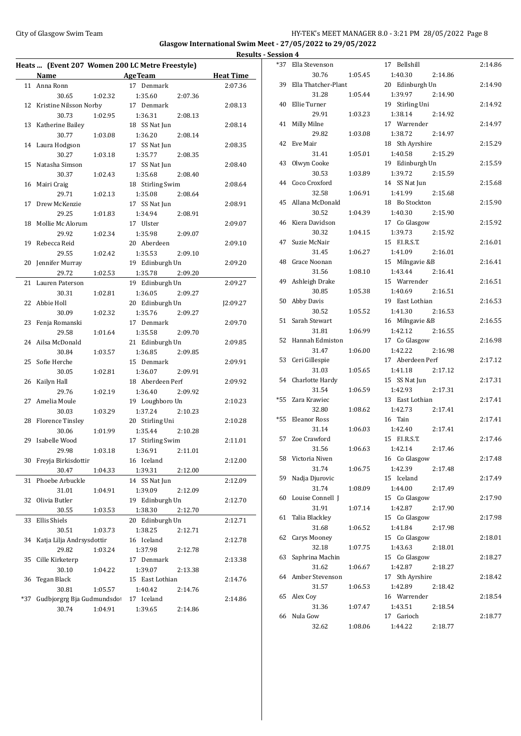#### City of Glasgow Swim Team HY-TEK's MEET MANAGER 8.0 - 3:21 PM 28/05/2022 Page 8 **Glasgow International Swim Meet - 27/05/2022 to 29/05/2022**

**Heats ... (Event 207 Women 200 LC Metre Freestyle) Name Age Team Heat Time** 11 Anna Ronn 17 Denmark 2:07.36 30.65 1:02.32 1:35.60 2:07.36 12 Kristine Nilsson Norby 17 Denmark 2:08.13 30.73 1:02.95 1:36.31 2:08.13 13 Katherine Bailey 18 SS Nat Jun 2:08.14 30.77 1:03.08 1:36.20 2:08.14 14 Laura Hodgson 17 SS Nat Jun 2:08.35 30.27 1:03.18 1:35.77 2:08.35 15 Natasha Simson 17 SS Nat Jun 2:08.40 30.37 1:02.43 1:35.68 2:08.40 16 Mairi Craig 18 Stirling Swim 2:08.64 29.71 1:02.13 1:35.08 2:08.64 17 Drew McKenzie 17 SS Nat Jun 2:08.91 29.25 1:01.83 1:34.94 2:08.91 18 Mollie Mc Alorum 17 Ulster 2:09.07 29.92 1:02.34 1:35.98 2:09.07 19 Rebecca Reid 20 Aberdeen 2:09.10 29.55 1:02.42 1:35.53 2:09.10 20 Jennifer Murray 19 Edinburgh Un 2:09.20 29.72 1:02.53 1:35.78 2:09.20 21 Lauren Paterson 19 Edinburgh Un 2:09.27 30.31 1:02.81 1:36.05 2:09.27 22 Abbie Holl 20 Edinburgh Un J2:09.27 30.09 1:02.32 1:35.76 2:09.27 23 Fenja Romanski 17 Denmark 2:09.70 29.58 1:01.64 1:35.58 2:09.70 24 Ailsa McDonald 21 Edinburgh Un 2:09.85 30.84 1:03.57 1:36.85 2:09.85 25 Sofie Herche 15 Denmark 2:09.91 30.05 1:02.81 1:36.07 2:09.91 26 Kailyn Hall 18 Aberdeen Perf 2:09.92 29.76 1:02.19 1:36.40 2:09.92 27 Amelia Moule 19 Loughboro Un 2:10.23 30.03 1:03.29 1:37.24 2:10.23 28 Florence Tinsley 20 Stirling Uni 2:10.28 30.06 1:01.99 1:35.44 2:10.28 29 Isabelle Wood 17 Stirling Swim 2:11.01 29.98 1:03.18 1:36.91 2:11.01 30 Freyja Birkisdottir 16 Iceland 2:12.00 30.47 1:04.33 1:39.31 2:12.00 31 Phoebe Arbuckle 14 SS Nat Jun 2:12.09 31.01 1:04.91 1:39.09 2:12.09 32 Olivia Butler 19 Edinburgh Un 2:12.70 30.55 1:03.53 1:38.30 2:12.70 33 Ellis Shiels 20 Edinburgh Un 2:12.71 30.51 1:03.73 1:38.25 2:12.71 34 Katja Lilja Andrsysdottir 16 Iceland 2:12.78 29.82 1:03.24 1:37.98 2:12.78 35 Cille Kirketerp 17 Denmark 2:13.38 30.10 1:04.22 1:39.07 2:13.38 36 Tegan Black 15 East Lothian 2:14.76 30.81 1:05.57 1:40.42 2:14.76 \*37 Gudbjorgrg Bja Gudmundsdot 17 Iceland 2:14.86 30.74 1:04.91 1:39.65 2:14.86

| <b>Results - Session 4</b> |    |                           |         |                            |         |         |
|----------------------------|----|---------------------------|---------|----------------------------|---------|---------|
|                            |    | *37 Ella Stevenson        |         | 17 Bellshill               |         | 2:14.86 |
| 'ime                       |    | 30.76                     | 1:05.45 | 1:40.30                    | 2:14.86 |         |
| 7.36                       |    | 39 Ella Thatcher-Plant    |         | 20 Edinburgh Un            |         | 2:14.90 |
|                            |    | 31.28                     | 1:05.44 | 1:39.97                    | 2:14.90 |         |
| 8.13                       |    | 40 Ellie Turner           |         | 19 Stirling Uni            |         | 2:14.92 |
|                            |    | 29.91                     | 1:03.23 | 1:38.14                    | 2:14.92 |         |
| 8.14                       |    | 41 Milly Milne            |         | 17 Warrender               |         | 2:14.97 |
|                            |    | 29.82                     | 1:03.08 | 1:38.72                    | 2:14.97 |         |
| 8.35                       |    | 42 Eve Mair               |         | 18 Sth Ayrshire            |         | 2:15.29 |
|                            |    | 31.41                     | 1:05.01 | 1:40.58                    | 2:15.29 |         |
| 8.40                       |    | 43 Olwyn Cooke            |         | 19 Edinburgh Un            |         | 2:15.59 |
|                            |    | 30.53                     | 1:03.89 | 1:39.72                    | 2:15.59 |         |
| 8.64                       |    | 44 Coco Croxford          |         | 14 SS Nat Jun              |         | 2:15.68 |
|                            |    | 32.58                     | 1:06.91 | 1:41.99                    | 2:15.68 |         |
| 8.91                       |    | 45 Allana McDonald        |         | 18 Bo Stockton             |         | 2:15.90 |
|                            |    | 30.52                     | 1:04.39 | 1:40.30                    | 2:15.90 |         |
| 9.07                       |    | 46 Kiera Davidson         |         | 17 Co Glasgow              |         | 2:15.92 |
|                            |    | 30.32                     | 1:04.15 | 1:39.73                    | 2:15.92 |         |
| 9.10                       |    | 47 Suzie McNair           |         | 15 F.I.R.S.T.              |         | 2:16.01 |
|                            |    | 31.45                     | 1:06.27 | 1:41.09                    | 2:16.01 |         |
| 9.20                       |    | 48 Grace Noonan           |         | 15 Milngavie &B            |         | 2:16.41 |
|                            |    | 31.56                     | 1:08.10 | 1:43.44                    | 2:16.41 |         |
| 9.27                       |    | 49 Ashleigh Drake         |         | 15 Warrender               |         | 2:16.51 |
|                            |    | 30.85                     | 1:05.38 | 1:40.69                    | 2:16.51 |         |
| 9.27                       |    | 50 Abby Davis             |         | 19 East Lothian            |         | 2:16.53 |
|                            |    | 30.52                     | 1:05.52 | 1:41.30                    | 2:16.53 |         |
| 9.70                       |    | 51 Sarah Stewart          |         | 16 Milngavie &B            |         | 2:16.55 |
|                            |    | 31.81                     | 1:06.99 | 1:42.12                    | 2:16.55 |         |
| 9.85                       |    | 52 Hannah Edmiston        |         | 17 Co Glasgow              |         | 2:16.98 |
|                            |    | 31.47                     | 1:06.00 | 1:42.22                    | 2:16.98 |         |
| 9.91                       |    | 53 Ceri Gillespie         |         | 17 Aberdeen Perf           |         | 2:17.12 |
|                            |    | 31.03                     | 1:05.65 | 1:41.18                    | 2:17.12 |         |
| 9.92                       |    | 54 Charlotte Hardy        |         | 15 SS Nat Jun              |         | 2:17.31 |
|                            |    | 31.54<br>*55 Zara Krawiec | 1:06.59 | 1:42.93<br>13 East Lothian | 2:17.31 | 2:17.41 |
| 0.23                       |    | 32.80                     | 1:08.62 | 1:42.73                    | 2:17.41 |         |
|                            |    | *55 Eleanor Ross          |         | 16 Tain                    |         | 2:17.41 |
| 0.28                       |    | 31.14                     | 1:06.03 | 1:42.40                    | 2:17.41 |         |
| 1.01                       |    | 57 Zoe Crawford           |         | 15 F.I.R.S.T.              |         | 2:17.46 |
|                            |    | 31.56                     | 1:06.63 | 1:42.14                    | 2:17.46 |         |
| 2.00                       |    | 58 Victoria Niven         |         | 16 Co Glasgow              |         | 2:17.48 |
|                            |    | 31.74                     | 1:06.75 | 1:42.39                    | 2:17.48 |         |
| 2.09                       |    | 59 Nadja Djurovic         |         | 15 Iceland                 |         | 2:17.49 |
|                            |    | 31.74                     | 1:08.09 | 1:44.00                    | 2:17.49 |         |
| 2.70                       |    | 60 Louise Connell J       |         | 15 Co Glasgow              |         | 2:17.90 |
|                            |    | 31.91                     | 1:07.14 | 1:42.87                    | 2:17.90 |         |
| 2.71                       |    | 61 Talia Blackley         |         | 15 Co Glasgow              |         | 2:17.98 |
|                            |    | 31.68                     | 1:06.52 | 1:41.84                    | 2:17.98 |         |
| 2.78                       |    | 62 Carys Mooney           |         | 15 Co Glasgow              |         | 2:18.01 |
|                            |    | 32.18                     | 1:07.75 | 1:43.63                    | 2:18.01 |         |
| 3.38                       | 63 | Saphrina Machin           |         | 15 Co Glasgow              |         | 2:18.27 |
|                            |    | 31.62                     | 1:06.67 | 1:42.87                    | 2:18.27 |         |
| 4.76                       |    | 64 Amber Stevenson        |         | 17 Sth Ayrshire            |         | 2:18.42 |
|                            |    | 31.57                     | 1:06.53 | 1:42.89                    | 2:18.42 |         |
| 4.86                       | 65 | Alex Coy                  |         | 16 Warrender               |         | 2:18.54 |
|                            |    | 31.36                     | 1:07.47 | 1:43.51                    | 2:18.54 |         |
|                            |    | 66 Nula Gow               |         | 17 Garioch                 |         | 2:18.77 |
|                            |    | 32.62                     | 1:08.06 | 1:44.22                    | 2:18.77 |         |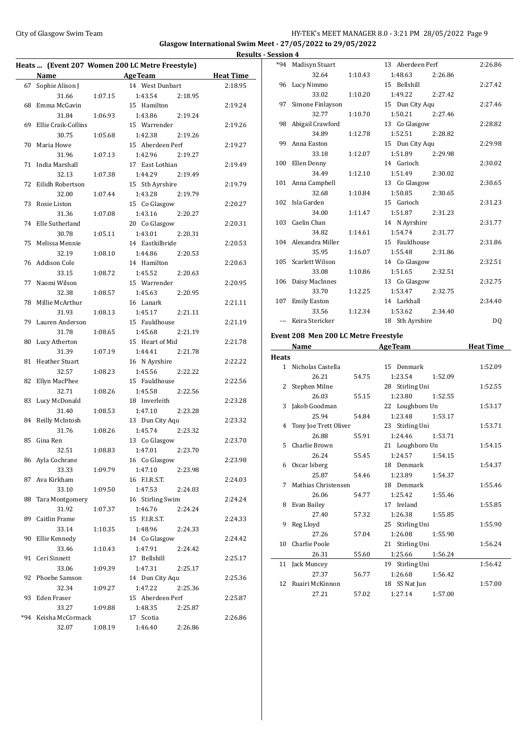# City of Glasgow Swim Team HY-TEK's MEET MANAGER 8.0 - 3:21 PM 28/05/2022 Page 9 **Glasgow International Swim Meet - 27/05/2022 to 29/05/2022 Results - Session 4**

|       |                       |         | Heats  (Event 207 Women 200 LC Metre Freestyle) |                  |
|-------|-----------------------|---------|-------------------------------------------------|------------------|
|       | <b>Name</b>           |         | <b>Example 2</b> Age Team                       | <b>Heat Time</b> |
| 67    | Sophie Alison J       |         | 14 West Dunbart                                 | 2:18.95          |
|       | 31.66                 | 1:07.15 | 1:43.54<br>2:18.95                              |                  |
| 68    | Emma McGavin          |         | 15 Hamilton                                     | 2:19.24          |
|       | 31.84                 | 1:06.93 | 1:43.86<br>2:19.24                              |                  |
| 69    | Ellie Craik-Collins   |         | 15 Warrender                                    | 2:19.26          |
|       | 30.75                 | 1:05.68 | 1:42.38<br>2:19.26                              |                  |
| 70    | Maria Howe            |         | 15 Aberdeen Perf                                | 2:19.27          |
|       | 31.96                 | 1:07.13 | 1:42.96<br>2:19.27                              |                  |
| 71    | India Marshall        |         | 17 East Lothian                                 | 2:19.49          |
|       | 32.13                 | 1:07.38 | 1:44.29<br>2:19.49                              |                  |
| 72    | Eilidh Robertson      |         | 15 Sth Ayrshire                                 | 2:19.79          |
|       | 32.00                 | 1:07.44 | 1:43.28<br>2:19.79                              |                  |
| 73    | Rosie Liston          |         | 15 Co Glasgow                                   | 2:20.27          |
|       | 31.36                 | 1:07.08 | 1:43.16<br>2:20.27                              |                  |
| 74    | Elle Sutherland       |         | 20 Co Glasgow                                   | 2:20.31          |
|       | 30.78                 | 1:05.11 | 1:43.01<br>2:20.31                              |                  |
| 75    | Melissa Mennie        |         | 14 Eastkilbride                                 | 2:20.53          |
|       | 32.19                 | 1:08.10 | 1:44.86<br>2:20.53                              |                  |
| 76    | <b>Addison Cole</b>   |         | 14 Hamilton                                     | 2:20.63          |
|       | 33.15                 | 1:08.72 | 1:45.52<br>2:20.63                              |                  |
| 77    | Naomi Wilson          |         | 15 Warrender                                    | 2:20.95          |
|       | 32.38                 | 1:08.57 | 1:45.63<br>2:20.95                              |                  |
| 78    | Millie McArthur       |         | 16 Lanark                                       | 2:21.11          |
|       | 31.93                 | 1:08.13 | 1:45.17<br>2:21.11                              |                  |
| 79    | Lauren Anderson       |         | 15 Fauldhouse                                   |                  |
|       |                       |         |                                                 | 2:21.19          |
|       | 31.78                 | 1:08.65 | 1:45.68<br>2:21.19                              |                  |
| 80    | Lucy Atherton         |         | 15 Heart of Mid                                 | 2:21.78          |
|       | 31.39                 | 1:07.19 | 1:44.41<br>2:21.78                              |                  |
| 81    | <b>Heather Stuart</b> |         | 16 N Ayrshire                                   | 2:22.22          |
|       | 32.57                 | 1:08.23 | 1:45.56<br>2:22.22                              |                  |
| 82    | Ellyn MacPhee         |         | 15 Fauldhouse                                   | 2:22.56          |
|       | 32.71                 | 1:08.26 | 1:45.58<br>2:22.56                              |                  |
| 83    | Lucy McDonald         |         | 18 Inverleith                                   | 2:23.28          |
|       | 31.40                 | 1:08.53 | 1:47.10<br>2:23.28                              |                  |
| 84    | Reilly McIntosh       |         | 13 Dun City Aqu                                 | 2:23.32          |
|       | 31.76                 | 1:08.26 | 1:45.74<br>2:23.32                              |                  |
| 85    | Gina Ren              |         | 13 Co Glasgow                                   | 2:23.70          |
|       | 32.51                 | 1:08.83 | 1:47.01 2:23.70                                 |                  |
|       | 86 Ayla Cochrane      |         | 16 Co Glasgow                                   | 2:23.98          |
|       | 33.33                 | 1:09.79 | 1:47.10<br>2:23.98                              |                  |
| 87    | Ava Kirkham           |         | 16 F.I.R.S.T.                                   | 2:24.03          |
|       | 33.10                 | 1:09.50 | 1:47.53<br>2:24.03                              |                  |
| 88    | Tara Montgomery       |         | 16 Stirling Swim                                | 2:24.24          |
|       | 31.92                 | 1:07.37 | 1:46.76<br>2:24.24                              |                  |
| 89    | Caitlin Frame         |         | 15 F.I.R.S.T.                                   | 2:24.33          |
|       | 33.14                 | 1:10.35 | 1:48.96<br>2:24.33                              |                  |
| 90    | Ellie Kennedy         |         | 14 Co Glasgow                                   | 2:24.42          |
|       | 33.46                 | 1:10.43 | 1:47.91<br>2:24.42                              |                  |
| 91    | Ceri Sinnett          |         | 17 Bellshill                                    | 2:25.17          |
|       | 33.06                 | 1:09.39 | 1:47.31<br>2:25.17                              |                  |
| 92    | Phoebe Samson         |         | 14 Dun City Aqu                                 | 2:25.36          |
|       | 32.34                 | 1:09.27 | 1:47.22<br>2:25.36                              |                  |
| 93    | Eden Fraser           |         | 15 Aberdeen Perf                                | 2:25.87          |
|       | 33.27                 | 1:09.88 | 1:48.35<br>2:25.87                              |                  |
| $*94$ | Keisha McCormack      |         | 17 Scotia                                       | 2:26.86          |
|       | 32.07                 | 1:08.19 | 1:46.40<br>2:26.86                              |                  |
|       |                       |         |                                                 |                  |

|              | *94 Madisyn Stuart                   |         | 13 Aberdeen Perf   | 2:26.86          |
|--------------|--------------------------------------|---------|--------------------|------------------|
|              | 32.64                                | 1:10.43 | 1:48.63<br>2:26.86 |                  |
|              | 96 Lucy Nimmo                        |         | 15 Bellshill       | 2:27.42          |
|              | 33.02                                | 1:10.20 | 2:27.42<br>1:49.22 |                  |
| 97           | Simone Finlayson                     |         | 15 Dun City Aqu    | 2:27.46          |
|              | 32.77                                | 1:10.70 | 1:50.21<br>2:27.46 |                  |
|              | 98 Abigail Crawford                  |         | 13 Co Glasgow      | 2:28.82          |
|              | 34.89                                | 1:12.78 | 1:52.51<br>2:28.82 |                  |
|              | 99 Anna Easton                       |         | 15 Dun City Aqu    | 2:29.98          |
|              | 33.18                                | 1:12.07 | 1:51.89<br>2:29.98 |                  |
|              | 100 Ellen Denny                      |         | 14 Garioch         | 2:30.02          |
|              | 34.49                                | 1:12.10 | 1:51.49<br>2:30.02 |                  |
|              | 101 Anna Campbell                    |         | 13 Co Glasgow      | 2:30.65          |
|              | 32.68                                | 1:10.84 | 1:50.85<br>2:30.65 |                  |
|              | 102 Isla Garden                      |         | 15 Garioch         | 2:31.23          |
|              | 34.00                                | 1:11.47 | 1:51.87<br>2:31.23 |                  |
|              | 103 Caelin Chan                      |         | 14 N Ayrshire      | 2:31.77          |
|              | 34.82                                | 1:14.61 | 1:54.74<br>2:31.77 |                  |
|              | 104 Alexandra Miller                 |         | 15 Fauldhouse      | 2:31.86          |
|              | 35.95                                | 1:16.07 | 1:55.48<br>2:31.86 |                  |
|              | 105 Scarlett Wilson                  |         | 14 Co Glasgow      | 2:32.51          |
|              | 33.08                                | 1:10.86 | 1:51.65<br>2:32.51 |                  |
|              | 106 Daisy MacInnes                   |         | 13 Co Glasgow      | 2:32.75          |
|              | 33.70                                | 1:12.25 | 1:53.47<br>2:32.75 |                  |
| 107          | <b>Emily Easton</b>                  |         | 14 Larkhall        | 2:34.40          |
|              | 33.56                                | 1:12.34 | 1:53.62<br>2:34.40 |                  |
|              | --- Keira Stericker                  |         | 18 Sth Ayrshire    | DQ               |
|              |                                      |         |                    |                  |
|              |                                      |         |                    |                  |
|              | Event 208 Men 200 LC Metre Freestyle |         |                    |                  |
|              | Name                                 |         | <b>AgeTeam</b>     | <b>Heat Time</b> |
| <b>Heats</b> |                                      |         |                    |                  |
|              | 1 Nicholas Castella                  |         | 15 Denmark         | 1:52.09          |
|              | 26.21                                | 54.75   | 1:23.54<br>1:52.09 |                  |
| 2            | Stephen Milne                        |         | 28 Stirling Uni    | 1:52.55          |
|              | 26.03                                | 55.15   | 1:23.80<br>1:52.55 |                  |
| 3            | Jakob Goodman                        |         | 22 Loughboro Un    | 1:53.17          |
|              | 25.94                                | 54.84   | 1:23.48<br>1:53.17 |                  |
| 4            | Tony Joe Trett Oliver                |         | 23 Stirling Uni    | 1:53.71          |
|              | 26.88                                | 55.91   | 1:24.46<br>1:53.71 |                  |
|              | 5 Charlie Brown                      |         | 21 Loughboro Un    | 1:54.15          |
|              | 26.24                                | 55.45   | 1:24.57<br>1:54.15 |                  |
|              | 6 Oscar Isberg                       |         | 18 Denmark         | 1:54.37          |
|              | 25.87                                | 54.46   | 1:23.89<br>1:54.37 |                  |
| 7            | Mathias Christensen                  |         | 18 Denmark         | 1:55.46          |
|              | 26.06                                | 54.77   | 1:25.42<br>1:55.46 |                  |
|              | 8 Evan Bailey                        |         | 17 Ireland         | 1:55.85          |
|              | 27.40                                | 57.32   | 1:26.38<br>1:55.85 |                  |
| 9.           | Reg Lloyd                            |         | 25 Stirling Uni    | 1:55.90          |
|              | 27.26                                | 57.04   | 1:26.08<br>1:55.90 |                  |
| 10           | <b>Charlie Poole</b>                 |         | 21 Stirling Uni    | 1:56.24          |
|              | 26.31                                | 55.60   | 1:25.66<br>1:56.24 |                  |
| 11           | Jack Muncey                          |         | Stirling Uni<br>19 | 1:56.42          |
|              | 27.37                                | 56.77   | 1:26.68<br>1:56.42 |                  |
|              | 12 Ruairi McKinnon                   |         | 18 SS Nat Jun      | 1:57.00          |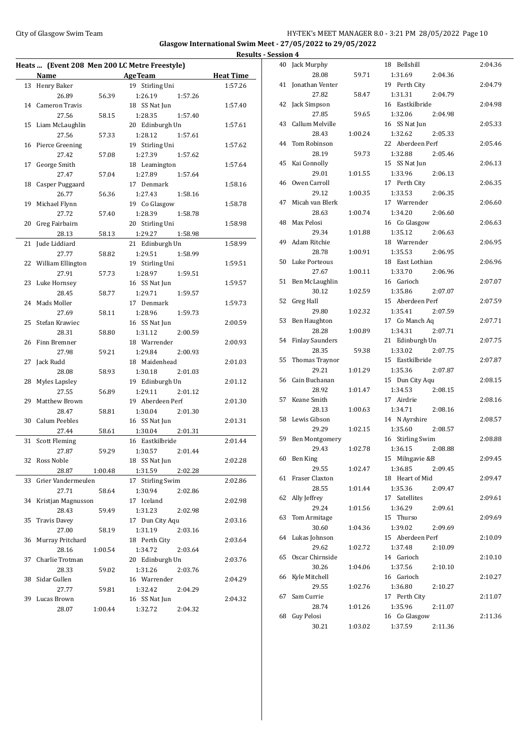# City of Glasgow Swim Team Team Feam Fermi States of Glasgow Swim Team Feam Fermi States and HY-TEK's MEET MANAGER 8.0 - 3:21 PM 28/05/2022 Page 10 **Glasgow International Swim Meet - 27/05/2022 to 29/05/2022 Results - Session 4**

| Heats  (Event 208 Men 200 LC Metre Freestyle) |                       |         |                            |                  |  |
|-----------------------------------------------|-----------------------|---------|----------------------------|------------------|--|
|                                               | Name                  |         | <b>AgeTeam</b>             | <b>Heat Time</b> |  |
| 13                                            | Henry Baker           |         | 19 Stirling Uni            | 1:57.26          |  |
|                                               | 26.89                 | 56.39   | 1:26.19<br>1:57.26         |                  |  |
| 14                                            | <b>Cameron Travis</b> |         | 18 SS Nat Jun              | 1:57.40          |  |
|                                               | 27.56                 | 58.15   | 1:28.35<br>1:57.40         |                  |  |
| 15                                            | Liam McLaughlin       |         | 20 Edinburgh Un            | 1:57.61          |  |
|                                               | 27.56                 | 57.33   | 1:28.12<br>1:57.61         |                  |  |
| 16                                            | Pierce Greening       |         | 19 Stirling Uni            | 1:57.62          |  |
|                                               | 27.42                 | 57.08   | 1:27.39<br>1:57.62         |                  |  |
| 17                                            | George Smith          |         | 18 Leamington              | 1:57.64          |  |
|                                               | 27.47                 | 57.04   | 1:27.89<br>1:57.64         |                  |  |
| 18                                            | Casper Puggaard       |         | 17 Denmark                 | 1:58.16          |  |
|                                               | 26.77                 | 56.36   | 1:27.43<br>1:58.16         |                  |  |
| 19                                            | Michael Flynn         |         | 19 Co Glasgow              | 1:58.78          |  |
|                                               | 27.72                 | 57.40   | 1:28.39<br>1:58.78         |                  |  |
| 20                                            |                       |         |                            | 1:58.98          |  |
|                                               | Greg Fairbairn        |         | 20 Stirling Uni            |                  |  |
|                                               | 28.13                 | 58.13   | 1:29.27<br>1:58.98         |                  |  |
| 21                                            | Jude Liddiard         |         | 21 Edinburgh Un            | 1:58.99          |  |
|                                               | 27.77                 | 58.82   | 1:29.51<br>1:58.99         |                  |  |
| 22                                            | William Ellington     |         | 19 Stirling Uni            | 1:59.51          |  |
|                                               | 27.91                 | 57.73   | 1:28.97<br>1:59.51         |                  |  |
| 23                                            | Luke Hornsey          |         | 16 SS Nat Jun              | 1:59.57          |  |
|                                               | 28.45                 | 58.77   | 1:29.71<br>1:59.57         |                  |  |
| 24                                            | Mads Moller           |         | 17 Denmark                 | 1:59.73          |  |
|                                               | 27.69                 | 58.11   | 1:28.96<br>1:59.73         |                  |  |
| 25                                            | Stefan Krawiec        |         | 16 SS Nat Jun              | 2:00.59          |  |
|                                               | 28.31                 | 58.80   | 1:31.12<br>2:00.59         |                  |  |
| 26                                            | Finn Bremner          |         | 18 Warrender               | 2:00.93          |  |
|                                               | 27.98                 | 59.21   | 1:29.84<br>2:00.93         |                  |  |
| 27                                            | Jack Rudd             |         | 18 Maidenhead              | 2:01.03          |  |
|                                               | 28.08                 | 58.93   | 1:30.18<br>2:01.03         |                  |  |
| 28                                            | Myles Lapsley         |         | 19 Edinburgh Un            | 2:01.12          |  |
|                                               | 27.55                 | 56.89   | 1:29.11<br>2:01.12         |                  |  |
| 29                                            | Matthew Brown         |         | 19 Aberdeen Perf           | 2:01.30          |  |
|                                               | 28.47                 | 58.81   | 1:30.04<br>2:01.30         |                  |  |
| 30                                            | Calum Peebles         |         | 16 SS Nat Jun              | 2:01.31          |  |
|                                               | 27.44                 | 58.61   | 1:30.04<br>2:01.31         |                  |  |
| 31                                            | <b>Scott Fleming</b>  |         | 16 Eastkilbride            | 2:01.44          |  |
|                                               | 27.87                 | 59.29   | 1:30.57<br>2:01.44         |                  |  |
| 32                                            | Ross Noble            |         | 18 SS Nat Jun              | 2:02.28          |  |
|                                               | 28.87                 | 1:00.48 | 1:31.59<br>2:02.28         |                  |  |
| 33                                            | Grier Vandermeulen    |         | 17<br><b>Stirling Swim</b> | 2:02.86          |  |
|                                               | 27.71                 | 58.64   | 1:30.94<br>2:02.86         |                  |  |
| 34                                            | Kristjan Magnusson    |         | 17 Iceland                 | 2:02.98          |  |
|                                               | 28.43                 | 59.49   | 1:31.23<br>2:02.98         |                  |  |
| 35                                            | <b>Travis Davey</b>   |         | 17 Dun City Aqu            | 2:03.16          |  |
|                                               | 27.00                 | 58.19   | 1:31.19<br>2:03.16         |                  |  |
| 36                                            | Murray Pritchard      |         | 18 Perth City              | 2:03.64          |  |
|                                               | 28.16                 | 1:00.54 | 1:34.72<br>2:03.64         |                  |  |
| 37                                            | Charlie Trotman       |         | 20 Edinburgh Un            | 2:03.76          |  |
|                                               | 28.33                 | 59.02   | 1:31.26<br>2:03.76         |                  |  |
| 38                                            | Sidar Gullen          |         | 16 Warrender               | 2:04.29          |  |
|                                               | 27.77                 | 59.81   | 1:32.42<br>2:04.29         |                  |  |
| 39                                            | Lucas Brown           |         | 16 SS Nat Jun              | 2:04.32          |  |
|                                               | 28.07                 | 1:00.44 | 1:32.72<br>2:04.32         |                  |  |

|    | 40 Jack Murphy         |         | 18 Bellshill       | 2:04.36 |
|----|------------------------|---------|--------------------|---------|
|    | 28.08                  | 59.71   | 1:31.69<br>2:04.36 |         |
| 41 | Jonathan Venter        |         | 19 Perth City      | 2:04.79 |
|    | 27.82                  | 58.47   | 1:31.31<br>2:04.79 |         |
| 42 | Jack Simpson           |         | 16 Eastkilbride    | 2:04.98 |
|    | 27.85                  | 59.65   | 1:32.06<br>2:04.98 |         |
| 43 | Callum Melville        |         | 16 SS Nat Jun      | 2:05.33 |
|    | 28.43                  | 1:00.24 | 1:32.62<br>2:05.33 |         |
| 44 | Tom Robinson           |         | 22 Aberdeen Perf   | 2:05.46 |
|    | 28.19                  | 59.73   | 1:32.88<br>2:05.46 |         |
| 45 | Kai Connolly           |         | 15 SS Nat Jun      | 2:06.13 |
|    | 29.01                  | 1:01.55 | 1:33.96<br>2:06.13 |         |
| 46 | Owen Carroll           |         | 17 Perth City      | 2:06.35 |
|    | 29.12                  | 1:00.35 | 1:33.53<br>2:06.35 |         |
|    | Micah van Blerk        |         | 17 Warrender       |         |
| 47 |                        |         |                    | 2:06.60 |
|    | 28.63                  | 1:00.74 | 1:34.20<br>2:06.60 |         |
| 48 | Max Pelosi             |         | 16 Co Glasgow      | 2:06.63 |
|    | 29.34                  | 1:01.88 | 1:35.12<br>2:06.63 |         |
| 49 | Adam Ritchie           |         | 18 Warrender       | 2:06.95 |
|    | 28.78                  | 1:00.91 | 1:35.53<br>2:06.95 |         |
| 50 | Luke Porteous          |         | 18 East Lothian    | 2:06.96 |
|    | 27.67                  | 1:00.11 | 1:33.70<br>2:06.96 |         |
| 51 | Ben McLaughlin         |         | 16 Garioch         | 2:07.07 |
|    | 30.12                  | 1:02.59 | 1:35.86<br>2:07.07 |         |
| 52 | Greg Hall              |         | 15 Aberdeen Perf   | 2:07.59 |
|    | 29.80                  | 1:02.32 | 1:35.41<br>2:07.59 |         |
| 53 | Ben Haughton           |         | 17 Co Manch Aq     | 2:07.71 |
|    | 28.28                  | 1:00.89 | 1:34.31<br>2:07.71 |         |
| 54 | <b>Finlay Saunders</b> |         | 21 Edinburgh Un    | 2:07.75 |
|    | 28.35                  | 59.38   | 1:33.02<br>2:07.75 |         |
| 55 | Thomas Traynor         |         | 15 Eastkilbride    | 2:07.87 |
|    | 29.21                  | 1:01.29 | 1:35.36<br>2:07.87 |         |
| 56 | Cain Buchanan          |         | 15 Dun City Aqu    | 2:08.15 |
|    | 28.92                  | 1:01.47 | 1:34.53<br>2:08.15 |         |
| 57 | Keane Smith            |         | 17 Airdrie         | 2:08.16 |
|    | 28.13                  | 1:00.63 | 1:34.71<br>2:08.16 |         |
| 58 | Lewis Gibson           |         | 14 N Ayrshire      | 2:08.57 |
|    | 29.29                  | 1:02.15 | 1:35.60<br>2:08.57 |         |
|    |                        |         |                    | 2:08.88 |
| 59 | Ben Montgomery         |         | 16 Stirling Swim   |         |
|    | 29.43                  | 1:02.78 | 1:36.15<br>2:08.88 |         |
|    | 60 Ben King            |         | 15 Milngavie &B    | 2:09.45 |
|    | 29.55                  | 1:02.47 | 1:36.85<br>2:09.45 |         |
| 61 | Fraser Claxton         |         | 18 Heart of Mid    | 2:09.47 |
|    | 28.55                  | 1:01.44 | 1:35.36<br>2:09.47 |         |
| 62 | Ally Jeffrey           |         | 17 Satellites      | 2:09.61 |
|    | 29.24                  | 1:01.56 | 1:36.29<br>2:09.61 |         |
| 63 | Tom Armitage           |         | 15 Thurso          | 2:09.69 |
|    | 30.60                  | 1:04.36 | 1:39.02<br>2:09.69 |         |
| 64 | Lukas Johnson          |         | 15 Aberdeen Perf   | 2:10.09 |
|    | 29.62                  | 1:02.72 | 1:37.48<br>2:10.09 |         |
| 65 | Oscar Chirnside        |         | 14 Garioch         | 2:10.10 |
|    | 30.26                  | 1:04.06 | 1:37.56<br>2:10.10 |         |
| 66 | Kyle Mitchell          |         | 16 Garioch         | 2:10.27 |
|    | 29.55                  | 1:02.76 | 1:36.80<br>2:10.27 |         |
| 67 | Sam Currie             |         | 17 Perth City      | 2:11.07 |
|    | 28.74                  | 1:01.26 | 1:35.96<br>2:11.07 |         |
| 68 | Guy Pelosi             |         | 16 Co Glasgow      | 2:11.36 |
|    | 30.21                  | 1:03.02 | 1:37.59<br>2:11.36 |         |
|    |                        |         |                    |         |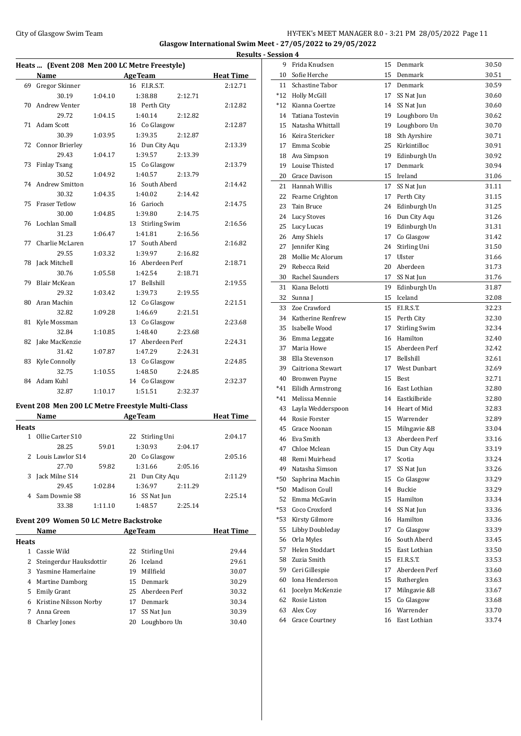## City of Glasgow Swim Team **HY-TEK's MEET MANAGER 8.0 - 3:21 PM 28/05/2022** Page 11 **Glasgow International Swim Meet - 27/05/2022 to 29/05/2022**

**Heats ... (Event 208 Men 200 LC Metre Freestyle) Name Age Team Heat Time**  Gregor Skinner 16 F.I.R.S.T. 2:12.71 30.19 1:04.10 1:38.88 2:12.71 Andrew Venter 18 Perth City 2:12.82 29.72 1:04.15 1:40.14 2:12.82 Adam Scott 16 Co Glasgow 2:12.87 30.39 1:03.95 1:39.35 2:12.87 Connor Brierley 16 Dun City Aqu 2:13.39 29.43 1:04.17 1:39.57 2:13.39 Finlay Tsang 15 Co Glasgow 2:13.79 30.52 1:04.92 1:40.57 2:13.79 Andrew Smitton 16 South Aberd 2:14.42 30.32 1:04.35 1:40.02 2:14.42 Fraser Tetlow 16 Garioch 2:14.75 30.00 1:04.85 1:39.80 2:14.75 Lochlan Small 13 Stirling Swim 2:16.56 31.23 1:06.47 1:41.81 2:16.56 Charlie McLaren 17 South Aberd 2:16.82 29.55 1:03.32 1:39.97 2:16.82 Jack Mitchell 16 Aberdeen Perf 2:18.71 30.76 1:05.58 1:42.54 2:18.71 Blair McKean 17 Bellshill 2:19.55 29.32 1:03.42 1:39.73 2:19.55 80 Aran Machin 12 Co Glasgow 2:21.51 32.82 1:09.28 1:46.69 2:21.51 81 Kyle Mossman 13 Co Glasgow 2:23.68 32.84 1:10.85 1:48.40 2:23.68 Jake MacKenzie 17 Aberdeen Perf 2:24.31 31.42 1:07.87 1:47.29 2:24.31 Kyle Connolly 13 Co Glasgow 2:24.85 32.75 1:10.55 1:48.50 2:24.85 84 Adam Kuhl 14 Co Glasgow 2:32.37 32.87 1:10.17 1:51.51 2:32.37

#### **Event 208 Men 200 LC Metre Freestyle Multi-Class**

|       | Name               |         | <b>AgeTeam</b>   |         | <b>Heat Time</b> |
|-------|--------------------|---------|------------------|---------|------------------|
| Heats |                    |         |                  |         |                  |
|       | Ollie Carter S10   |         | 22 Stirling Uni  |         | 2:04.17          |
|       | 28.25              | 59.01   | 1:30.93          | 2:04.17 |                  |
|       | 2 Louis Lawlor S14 |         | Co Glasgow<br>20 |         | 2:05.16          |
|       | 27.70              | 59.82   | 1:31.66          | 2:05.16 |                  |
| 3     | Jack Milne S14     |         | 21 Dun City Agu  |         | 2:11.29          |
|       | 29.45              | 1:02.84 | 1:36.97          | 2:11.29 |                  |
|       | Sam Downie S8      |         | 16 SS Nat Jun    |         | 2:25.14          |
|       | 33.38              | 1:11.10 | 1:48.57          | 2:25.14 |                  |

#### **Event 209 Women 50 LC Metre Backstroke**

|              | Name<br><b>AgeTeam</b>    |    | <b>Heat Time</b> |       |
|--------------|---------------------------|----|------------------|-------|
| <b>Heats</b> |                           |    |                  |       |
| 1            | Cassie Wild               |    | 22 Stirling Uni  | 29.44 |
|              | 2 Steingerdur Hauksdottir |    | 26 Iceland       | 29.61 |
|              | 3 Yasmine Hamerlaine      | 19 | Millfield        | 30.07 |
| 4            | <b>Martine Damborg</b>    | 15 | Denmark          | 30.29 |
| 5.           | Emily Grant               |    | 25 Aberdeen Perf | 30.32 |
| 6            | Kristine Nilsson Norby    | 17 | Denmark          | 30.34 |
| 7            | Anna Green                | 17 | SS Nat Jun       | 30.39 |
| 8            | <b>Charley Jones</b>      | 20 | Loughboro Un     | 30.40 |

|              | <b>Results - Session 4</b> |                      |    |                      |       |
|--------------|----------------------------|----------------------|----|----------------------|-------|
|              |                            | 9 Frida Knudsen      |    | 15 Denmark           | 30.50 |
| 'i <u>me</u> | 10                         | Sofie Herche         | 15 | Denmark              | 30.51 |
| 2.71         |                            | 11 Schastine Tabor   |    | 17 Denmark           | 30.59 |
|              |                            | *12 Holly McGill     | 17 | SS Nat Jun           | 30.60 |
| 2.82         |                            | *12 Kianna Coertze   |    | 14 SS Nat Jun        | 30.60 |
|              |                            | 14 Tatiana Tostevin  |    | 19 Loughboro Un      | 30.62 |
| 2.87         |                            | 15 Natasha Whittall  | 19 | Loughboro Un         | 30.70 |
|              |                            | 16 Keira Stericker   | 18 | Sth Ayrshire         | 30.71 |
| 3.39         |                            | 17 Emma Scobie       | 25 | Kirkintilloc         | 30.91 |
|              |                            | 18 Ava Simpson       | 19 | Edinburgh Un         | 30.92 |
| 3.79         |                            | 19 Louise Thisted    | 17 | Denmark              | 30.94 |
|              |                            | 20 Grace Davison     | 15 | Ireland              | 31.06 |
| 4.42         |                            | 21 Hannah Willis     |    | 17 SS Nat Jun        | 31.11 |
|              |                            | 22 Fearne Crighton   | 17 | Perth City           | 31.15 |
| 4.75         | 23                         | Tain Bruce           |    | 24 Edinburgh Un      | 31.25 |
| 6.56         |                            | 24 Lucy Stoves       |    | 16 Dun City Aqu      | 31.26 |
|              |                            | 25 Lucy Lucas        |    | 19 Edinburgh Un      | 31.31 |
| 6.82         |                            | 26 Amy Shiels        |    | 17 Co Glasgow        | 31.42 |
|              |                            | 27 Jennifer King     |    | 24 Stirling Uni      | 31.50 |
| 8.71         |                            | 28 Mollie Mc Alorum  | 17 | Ulster               | 31.66 |
|              |                            | 29 Rebecca Reid      | 20 | Aberdeen             | 31.73 |
| 9.55         |                            | 30 Rachel Saunders   | 17 | SS Nat Jun           | 31.76 |
|              |                            | 31 Kiana Belotti     | 19 | Edinburgh Un         | 31.87 |
| 1.51         |                            | 32 Sunna J           | 15 | Iceland              | 32.08 |
|              |                            | 33 Zoe Crawford      | 15 | F.I.R.S.T.           | 32.23 |
| 3.68         |                            | 34 Katherine Renfrew | 15 | Perth City           | 32.30 |
|              |                            | 35 Isabelle Wood     | 17 | <b>Stirling Swim</b> | 32.34 |
| 4.31         |                            | 36 Emma Leggate      |    | 16 Hamilton          | 32.40 |
|              |                            | 37 Maria Howe        |    | 15 Aberdeen Perf     | 32.42 |
| 4.85         |                            | 38 Ella Stevenson    |    | 17 Bellshill         | 32.61 |
|              |                            | 39 Caitriona Stewart |    | 17 West Dunbart      | 32.69 |
| 2.37         |                            | 40 Bronwen Payne     | 15 | Best                 | 32.71 |
|              |                            | *41 Eilidh Armstrong |    | 16 East Lothian      | 32.80 |
|              |                            | *41 Melissa Mennie   |    | 14 Eastkilbride      | 32.80 |
|              |                            | 43 Layla Wedderspoon |    | 14 Heart of Mid      | 32.83 |
| 'ime         |                            | 44 Rosie Forster     |    | 15 Warrender         | 32.89 |
| 4.17         |                            | 45 Grace Noonan      | 15 | Milngavie &B         | 33.04 |
|              | 46                         | Eva Smith            |    | 13 Aberdeen Perf     | 33.16 |
| 5.16         | 47                         | Chloe Mclean         |    | 15 Dun City Aqu      | 33.19 |
|              | 48                         | Remi Muirhead        | 17 | Scotia               | 33.24 |
| 1.29         |                            | 49 Natasha Simson    | 17 | SS Nat Jun           | 33.26 |
|              |                            | *50 Saphrina Machin  | 15 | Co Glasgow           | 33.29 |
| 5.14         |                            | *50 Madison Coull    | 14 | Buckie               | 33.29 |
|              |                            | 52 Emma McGavin      | 15 | Hamilton             | 33.34 |
|              |                            | *53 Coco Croxford    | 14 | SS Nat Jun           | 33.36 |
|              | *53                        | Kirsty Gilmore       | 16 | Hamilton             | 33.36 |
| 'i <u>me</u> |                            | 55 Libby Doubleday   | 17 | Co Glasgow           | 33.39 |
|              |                            | 56 Orla Myles        | 16 | South Aberd          | 33.45 |
| 9.44         | 57                         | Helen Stoddart       | 15 | East Lothian         | 33.50 |
| 9.61         |                            | 58 Zuzia Smith       | 15 | F.I.R.S.T.           | 33.53 |
| $0.07\,$     |                            | 59 Ceri Gillespie    | 17 | Aberdeen Perf        | 33.60 |
| 0.29         |                            | 60 Iona Henderson    | 15 | Rutherglen           | 33.63 |
| 0.32         |                            | 61 Jocelyn McKenzie  | 17 | Milngavie &B         | 33.67 |
| 0.34         |                            | 62 Rosie Liston      | 15 | Co Glasgow           | 33.68 |
| 0.39         |                            | 63 Alex Coy          |    | 16 Warrender         | 33.70 |
| 0.40         |                            | 64 Grace Courtney    |    | 16 East Lothian      | 33.74 |
|              |                            |                      |    |                      |       |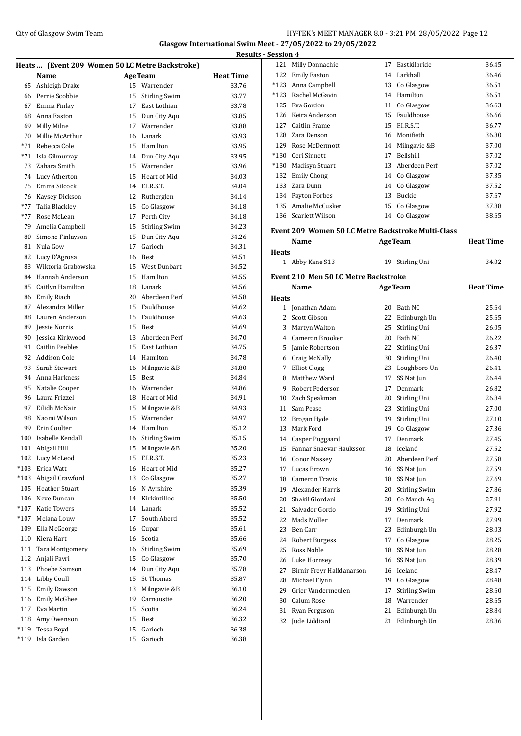#### City of Glasgow Swim Team **HY-TEK's MEET MANAGER 8.0 - 3:21 PM 28/05/2022** Page 12 **Glasgow International Swim Meet - 27/05/2022 to 29/05/2022**

**Results - Session 4 Heats ... (Event 209 Women 50 LC Metre Backstroke) Name Age Team Heat Time**  Ashleigh Drake 15 Warrender 33.76 Perrie Scobbie 15 Stirling Swim 33.77 Emma Finlay 17 East Lothian 33.78 Anna Easton 15 Dun City Aqu 33.85 Milly Milne 17 Warrender 33.88 Millie McArthur 16 Lanark 33.93 \*71 Rebecca Cole 15 Hamilton 33.95 \*71 Isla Gilmurray 14 Dun City Aqu 33.95 Zahara Smith 15 Warrender 33.96 Lucy Atherton 15 Heart of Mid 34.03 Emma Silcock 14 F.I.R.S.T. 34.04 Kaysey Dickson 12 Rutherglen 34.14 \*77 Talia Blackley 15 Co Glasgow 34.18 \*77 Rose McLean 17 Perth City 34.18 Amelia Campbell 15 Stirling Swim 34.23 80 Simone Finlayson 15 Dun City Aqu 34.26 Nula Gow 17 Garioch 34.31 82 Lucy D'Agrosa 16 Best 34.51 Wiktoria Grabowska 15 West Dunbart 34.52 Hannah Anderson 15 Hamilton 34.55 Caitlyn Hamilton 18 Lanark 34.56 Emily Riach 20 Aberdeen Perf 34.58 87 Alexandra Miller 15 Fauldhouse 34.62 Lauren Anderson 15 Fauldhouse 34.63 Jessie Norris 15 Best 34.69 Jessica Kirkwood 13 Aberdeen Perf 34.70 Caitlin Peebles 15 East Lothian 34.75 Addison Cole 14 Hamilton 34.78 93 Sarah Stewart 16 Milngavie &B 34.80 94 Anna Harkness 15 Best 34.84 Natalie Cooper 16 Warrender 34.86 96 Laura Frizzel 18 Heart of Mid 34.91 97 Eilidh McNair 15 Milngavie &B 34.93 Naomi Wilson 15 Warrender 34.97 99 Erin Coulter 14 Hamilton 35.12 Isabelle Kendall 16 Stirling Swim 35.15 101 Abigail Hill 15 Milngavie &B 35.20 102 Lucy McLeod 15 F.I.R.S.T. 35.23 \*103 Erica Watt 16 Heart of Mid 35.27 \*103 Abigail Crawford 13 Co Glasgow 35.27 105 Heather Stuart 16 N Ayrshire 35.39 Neve Duncan 14 Kirkintilloc 35.50 \*107 Katie Towers 14 Lanark 35.52 \*107 Melana Louw 17 South Aberd 35.52 Ella McGeorge 16 Cupar 35.61 110 Kiera Hart 16 Scotia 16 Scotia 35.66 Tara Montgomery 16 Stirling Swim 35.69 Anjali Pavri 15 Co Glasgow 35.70 113 Phoebe Samson 14 Dun City Aqu 35.78 114 Libby Coull 15 St Thomas 35.87 115 Emily Dawson 13 Milngavie &B 36.10 Emily McGhee 19 Carnoustie 36.20 Eva Martin 15 Scotia 36.24 118 Amy Owenson 15 Best 36.32 \*119 Tessa Boyd 15 Garioch 36.38 \*119 Isla Garden 15 Garioch 36.38

| 121          | Milly Donnachie                                    | 17 | Eastkilbride         | 36.45            |
|--------------|----------------------------------------------------|----|----------------------|------------------|
|              | 122 Emily Easton                                   |    | 14 Larkhall          | 36.46            |
|              | *123 Anna Campbell                                 |    | 13 Co Glasgow        | 36.51            |
|              | *123 Rachel McGavin                                |    | 14 Hamilton          | 36.51            |
|              | 125 Eva Gordon                                     |    | 11 Co Glasgow        | 36.63            |
|              | 126 Keira Anderson                                 |    | 15 Fauldhouse        | 36.66            |
| 127          | Caitlin Frame                                      |    | 15 F.I.R.S.T.        | 36.77            |
|              | 128 Zara Denson                                    |    | 16 Monifieth         | 36.80            |
|              | 129 Rose McDermott                                 |    | 14 Milngavie &B      | 37.00            |
|              | *130 Ceri Sinnett                                  | 17 | <b>Bellshill</b>     | 37.02            |
| $*130$       | Madisyn Stuart                                     |    | 13 Aberdeen Perf     | 37.02            |
| 132          | <b>Emily Chong</b>                                 |    | 14 Co Glasgow        | 37.35            |
| 133          | Zara Dunn                                          |    | 14 Co Glasgow        | 37.52            |
|              | 134 Payton Forbes                                  |    | 13 Buckie            | 37.67            |
| 135          | Amalie McCusker                                    |    | 15 Co Glasgow        | 37.88            |
|              | 136 Scarlett Wilson                                |    | 14 Co Glasgow        | 38.65            |
|              |                                                    |    |                      |                  |
|              | Event 209 Women 50 LC Metre Backstroke Multi-Class |    |                      |                  |
|              | Name                                               |    | <b>AgeTeam</b>       | <b>Heat Time</b> |
| <b>Heats</b> |                                                    |    |                      |                  |
|              | 1 Abby Kane S13                                    | 19 | Stirling Uni         | 34.02            |
|              | <b>Event 210 Men 50 LC Metre Backstroke</b>        |    |                      |                  |
|              | Name                                               |    | <b>AgeTeam</b>       | <b>Heat Time</b> |
| <b>Heats</b> |                                                    |    |                      |                  |
|              | 1 Jonathan Adam                                    |    | 20 Bath NC           | 25.64            |
| $\mathbf{2}$ | Scott Gibson                                       |    | 22 Edinburgh Un      | 25.65            |
|              | 3 Martyn Walton                                    |    | 25 Stirling Uni      | 26.05            |
|              | 4 Cameron Brooker                                  |    | 20 Bath NC           | 26.22            |
|              | 5 Jamie Robertson                                  |    | 22 Stirling Uni      | 26.37            |
|              | 6 Craig McNally                                    |    | 30 Stirling Uni      | 26.40            |
| 7            | <b>Elliot Clogg</b>                                |    | 23 Loughboro Un      | 26.41            |
| 8            | Matthew Ward                                       | 17 | SS Nat Jun           | 26.44            |
| 9            | Robert Pederson                                    | 17 | Denmark              | 26.82            |
| 10           | Zach Speakman                                      |    | 20 Stirling Uni      | 26.84            |
| 11           | Sam Pease                                          | 23 | Stirling Uni         | 27.00            |
| 12           | Brogan Hyde                                        | 19 | Stirling Uni         | 27.10            |
| 13           | Mark Ford                                          |    | 19 Co Glasgow        | 27.36            |
| 14           | Casper Puggaard                                    | 17 | Denmark              | 27.45            |
| 15           | Fannar Snaevar Hauksson                            |    | 18 Iceland           | 27.52            |
| 16           | <b>Conor Massey</b>                                | 20 | Aberdeen Perf        | 27.58            |
| 17           | Lucas Brown                                        | 16 | SS Nat Jun           | 27.59            |
| 18           | Cameron Travis                                     | 18 | SS Nat Jun           | 27.69            |
| 19           | Alexander Harris                                   | 20 | <b>Stirling Swim</b> | 27.86            |
| 20           | Shakil Giordani                                    | 20 | Co Manch Aq          | 27.91            |
| 21           | Salvador Gordo                                     | 19 | Stirling Uni         | 27.92            |
| 22           | Mads Moller                                        | 17 | Denmark              | 27.99            |
| 23           | Ben Carr                                           | 23 | Edinburgh Un         | 28.03            |
| 24           | Robert Burgess                                     | 17 | Co Glasgow           | 28.25            |
| 25           | Ross Noble                                         | 18 | SS Nat Jun           | 28.28            |
| 26           | Luke Hornsey                                       | 16 | SS Nat Jun           | 28.39            |
| 27           | Birnir Freyr Halfdanarson                          | 16 | Iceland              | 28.47            |
| 28           | Michael Flynn                                      | 19 | Co Glasgow           | 28.48            |
| 29           | Grier Vandermeulen                                 | 17 | <b>Stirling Swim</b> | 28.60            |
| 30           | Calum Rose                                         | 18 | Warrender            | 28.65            |
| 31           | Ryan Ferguson                                      | 21 | Edinburgh Un         | 28.84            |
| 32           | Jude Liddiard                                      | 21 | Edinburgh Un         | 28.86            |
|              |                                                    |    |                      |                  |